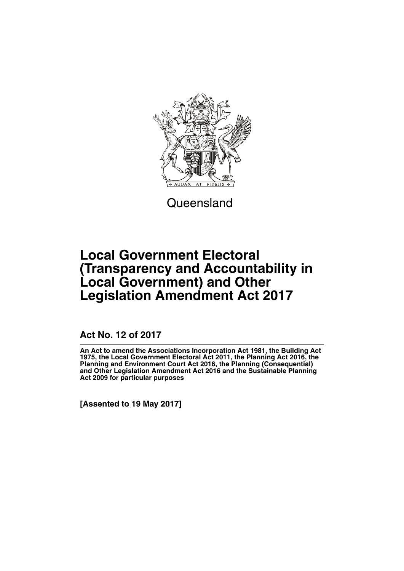

**Queensland** 

# **Local Government Electoral (Transparency and Accountability in Local Government) and Other Legislation Amendment Act 2017**

**Act No. 12 of 2017**

**An Act to amend the Associations Incorporation Act 1981, the Building Act 1975, the Local Government Electoral Act 2011, the Planning Act 2016, the Planning and Environment Court Act 2016, the Planning (Consequential) and Other Legislation Amendment Act 2016 and the Sustainable Planning Act 2009 for particular purposes**

**[Assented to 19 May 2017]**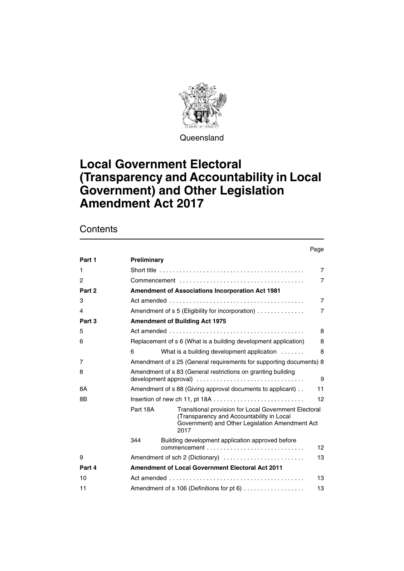

**Queensland** 

# **Local Government Electoral (Transparency and Accountability in Local Government) and Other Legislation Amendment Act 2017**

## **Contents**

#### Page

| Part 1 | Preliminary                                                          |                                                                                                                                                               |    |  |  |
|--------|----------------------------------------------------------------------|---------------------------------------------------------------------------------------------------------------------------------------------------------------|----|--|--|
| 1      | $\overline{7}$                                                       |                                                                                                                                                               |    |  |  |
| 2      |                                                                      |                                                                                                                                                               |    |  |  |
| Part 2 | <b>Amendment of Associations Incorporation Act 1981</b>              |                                                                                                                                                               |    |  |  |
| 3      | $\overline{7}$                                                       |                                                                                                                                                               |    |  |  |
| 4      | Amendment of s 5 (Eligibility for incorporation)<br>$\overline{7}$   |                                                                                                                                                               |    |  |  |
| Part 3 |                                                                      | <b>Amendment of Building Act 1975</b>                                                                                                                         |    |  |  |
| 5      |                                                                      |                                                                                                                                                               | 8  |  |  |
| 6      | Replacement of s 6 (What is a building development application)<br>8 |                                                                                                                                                               |    |  |  |
|        | 6                                                                    | What is a building development application                                                                                                                    | 8  |  |  |
| 7      | Amendment of s 25 (General requirements for supporting documents) 8  |                                                                                                                                                               |    |  |  |
| 8      | Amendment of s 83 (General restrictions on granting building<br>9    |                                                                                                                                                               |    |  |  |
| 8A     | Amendment of s 88 (Giving approval documents to applicant)<br>11     |                                                                                                                                                               |    |  |  |
| 8B     |                                                                      | Insertion of new ch 11, pt 18A                                                                                                                                | 12 |  |  |
|        | Part 18A                                                             | Transitional provision for Local Government Electoral<br>(Transparency and Accountability in Local<br>Government) and Other Legislation Amendment Act<br>2017 |    |  |  |
|        | 344                                                                  | Building development application approved before                                                                                                              | 12 |  |  |
| 9      |                                                                      | Amendment of sch 2 (Dictionary)                                                                                                                               | 13 |  |  |
| Part 4 |                                                                      | <b>Amendment of Local Government Electoral Act 2011</b>                                                                                                       |    |  |  |
| 10     | 13                                                                   |                                                                                                                                                               |    |  |  |
| 11     | Amendment of s 106 (Definitions for pt 6)<br>13                      |                                                                                                                                                               |    |  |  |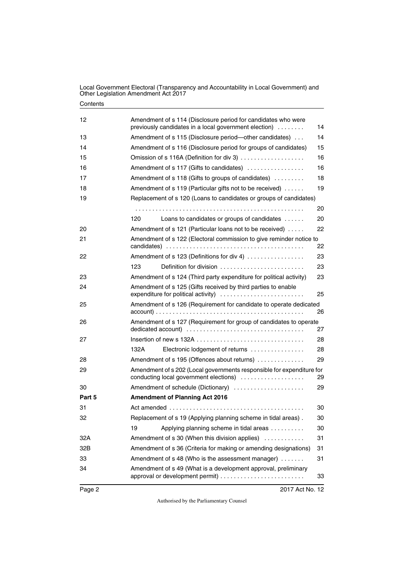| 12<br>Amendment of s 114 (Disclosure period for candidates who were<br>previously candidates in a local government election)<br>14<br>Amendment of s 115 (Disclosure period-other candidates)<br>14<br>13<br>15<br>Amendment of s 116 (Disclosure period for groups of candidates)<br>14<br>Omission of s 116A (Definition for div 3)<br>16<br>15<br>Amendment of s 117 (Gifts to candidates)<br>16<br>16<br>Amendment of s 118 (Gifts to groups of candidates)<br>18<br>17<br>19<br>Amendment of s 119 (Particular gifts not to be received)<br>18<br>Replacement of s 120 (Loans to candidates or groups of candidates)<br>19<br>20<br>120<br>Loans to candidates or groups of candidates<br>20<br>22<br>Amendment of s 121 (Particular loans not to be received)<br>Amendment of s 122 (Electoral commission to give reminder notice to<br>21<br>22<br>Amendment of s 123 (Definitions for div 4)<br>22<br>23<br>23<br>123<br>Definition for division<br>23<br>Amendment of s 124 (Third party expenditure for political activity)<br>23<br>Amendment of s 125 (Gifts received by third parties to enable<br>24<br>expenditure for political activity)<br>25<br>Amendment of s 126 (Requirement for candidate to operate dedicated<br>25<br>26<br>Amendment of s 127 (Requirement for group of candidates to operate<br>26<br>27<br>28<br>27<br>132A<br>Electronic lodgement of returns<br>28<br>29<br>Amendment of s 195 (Offences about returns)<br>28<br>Amendment of s 202 (Local governments responsible for expenditure for<br>29<br>conducting local government elections)<br>29<br>Amendment of schedule (Dictionary)<br>30<br>29<br><b>Amendment of Planning Act 2016</b><br>31<br>30<br>Replacement of s 19 (Applying planning scheme in tidal areas).<br>30<br>19<br>Applying planning scheme in tidal areas<br>30<br>31<br>Amendment of s 30 (When this division applies)<br>Amendment of s 36 (Criteria for making or amending designations)<br>32B<br>31<br>Amendment of s 48 (Who is the assessment manager)<br>33<br>31<br>Amendment of s 49 (What is a development approval, preliminary<br>34<br>33 |        |  |
|--------------------------------------------------------------------------------------------------------------------------------------------------------------------------------------------------------------------------------------------------------------------------------------------------------------------------------------------------------------------------------------------------------------------------------------------------------------------------------------------------------------------------------------------------------------------------------------------------------------------------------------------------------------------------------------------------------------------------------------------------------------------------------------------------------------------------------------------------------------------------------------------------------------------------------------------------------------------------------------------------------------------------------------------------------------------------------------------------------------------------------------------------------------------------------------------------------------------------------------------------------------------------------------------------------------------------------------------------------------------------------------------------------------------------------------------------------------------------------------------------------------------------------------------------------------------------------------------------------------------------------------------------------------------------------------------------------------------------------------------------------------------------------------------------------------------------------------------------------------------------------------------------------------------------------------------------------------------------------------------------------------------------------------------------------------------------------------------------------------------------|--------|--|
|                                                                                                                                                                                                                                                                                                                                                                                                                                                                                                                                                                                                                                                                                                                                                                                                                                                                                                                                                                                                                                                                                                                                                                                                                                                                                                                                                                                                                                                                                                                                                                                                                                                                                                                                                                                                                                                                                                                                                                                                                                                                                                                          |        |  |
|                                                                                                                                                                                                                                                                                                                                                                                                                                                                                                                                                                                                                                                                                                                                                                                                                                                                                                                                                                                                                                                                                                                                                                                                                                                                                                                                                                                                                                                                                                                                                                                                                                                                                                                                                                                                                                                                                                                                                                                                                                                                                                                          |        |  |
|                                                                                                                                                                                                                                                                                                                                                                                                                                                                                                                                                                                                                                                                                                                                                                                                                                                                                                                                                                                                                                                                                                                                                                                                                                                                                                                                                                                                                                                                                                                                                                                                                                                                                                                                                                                                                                                                                                                                                                                                                                                                                                                          |        |  |
|                                                                                                                                                                                                                                                                                                                                                                                                                                                                                                                                                                                                                                                                                                                                                                                                                                                                                                                                                                                                                                                                                                                                                                                                                                                                                                                                                                                                                                                                                                                                                                                                                                                                                                                                                                                                                                                                                                                                                                                                                                                                                                                          |        |  |
|                                                                                                                                                                                                                                                                                                                                                                                                                                                                                                                                                                                                                                                                                                                                                                                                                                                                                                                                                                                                                                                                                                                                                                                                                                                                                                                                                                                                                                                                                                                                                                                                                                                                                                                                                                                                                                                                                                                                                                                                                                                                                                                          |        |  |
|                                                                                                                                                                                                                                                                                                                                                                                                                                                                                                                                                                                                                                                                                                                                                                                                                                                                                                                                                                                                                                                                                                                                                                                                                                                                                                                                                                                                                                                                                                                                                                                                                                                                                                                                                                                                                                                                                                                                                                                                                                                                                                                          |        |  |
|                                                                                                                                                                                                                                                                                                                                                                                                                                                                                                                                                                                                                                                                                                                                                                                                                                                                                                                                                                                                                                                                                                                                                                                                                                                                                                                                                                                                                                                                                                                                                                                                                                                                                                                                                                                                                                                                                                                                                                                                                                                                                                                          |        |  |
|                                                                                                                                                                                                                                                                                                                                                                                                                                                                                                                                                                                                                                                                                                                                                                                                                                                                                                                                                                                                                                                                                                                                                                                                                                                                                                                                                                                                                                                                                                                                                                                                                                                                                                                                                                                                                                                                                                                                                                                                                                                                                                                          |        |  |
|                                                                                                                                                                                                                                                                                                                                                                                                                                                                                                                                                                                                                                                                                                                                                                                                                                                                                                                                                                                                                                                                                                                                                                                                                                                                                                                                                                                                                                                                                                                                                                                                                                                                                                                                                                                                                                                                                                                                                                                                                                                                                                                          |        |  |
|                                                                                                                                                                                                                                                                                                                                                                                                                                                                                                                                                                                                                                                                                                                                                                                                                                                                                                                                                                                                                                                                                                                                                                                                                                                                                                                                                                                                                                                                                                                                                                                                                                                                                                                                                                                                                                                                                                                                                                                                                                                                                                                          |        |  |
|                                                                                                                                                                                                                                                                                                                                                                                                                                                                                                                                                                                                                                                                                                                                                                                                                                                                                                                                                                                                                                                                                                                                                                                                                                                                                                                                                                                                                                                                                                                                                                                                                                                                                                                                                                                                                                                                                                                                                                                                                                                                                                                          | 20     |  |
|                                                                                                                                                                                                                                                                                                                                                                                                                                                                                                                                                                                                                                                                                                                                                                                                                                                                                                                                                                                                                                                                                                                                                                                                                                                                                                                                                                                                                                                                                                                                                                                                                                                                                                                                                                                                                                                                                                                                                                                                                                                                                                                          |        |  |
|                                                                                                                                                                                                                                                                                                                                                                                                                                                                                                                                                                                                                                                                                                                                                                                                                                                                                                                                                                                                                                                                                                                                                                                                                                                                                                                                                                                                                                                                                                                                                                                                                                                                                                                                                                                                                                                                                                                                                                                                                                                                                                                          |        |  |
|                                                                                                                                                                                                                                                                                                                                                                                                                                                                                                                                                                                                                                                                                                                                                                                                                                                                                                                                                                                                                                                                                                                                                                                                                                                                                                                                                                                                                                                                                                                                                                                                                                                                                                                                                                                                                                                                                                                                                                                                                                                                                                                          |        |  |
|                                                                                                                                                                                                                                                                                                                                                                                                                                                                                                                                                                                                                                                                                                                                                                                                                                                                                                                                                                                                                                                                                                                                                                                                                                                                                                                                                                                                                                                                                                                                                                                                                                                                                                                                                                                                                                                                                                                                                                                                                                                                                                                          |        |  |
|                                                                                                                                                                                                                                                                                                                                                                                                                                                                                                                                                                                                                                                                                                                                                                                                                                                                                                                                                                                                                                                                                                                                                                                                                                                                                                                                                                                                                                                                                                                                                                                                                                                                                                                                                                                                                                                                                                                                                                                                                                                                                                                          |        |  |
|                                                                                                                                                                                                                                                                                                                                                                                                                                                                                                                                                                                                                                                                                                                                                                                                                                                                                                                                                                                                                                                                                                                                                                                                                                                                                                                                                                                                                                                                                                                                                                                                                                                                                                                                                                                                                                                                                                                                                                                                                                                                                                                          |        |  |
|                                                                                                                                                                                                                                                                                                                                                                                                                                                                                                                                                                                                                                                                                                                                                                                                                                                                                                                                                                                                                                                                                                                                                                                                                                                                                                                                                                                                                                                                                                                                                                                                                                                                                                                                                                                                                                                                                                                                                                                                                                                                                                                          |        |  |
|                                                                                                                                                                                                                                                                                                                                                                                                                                                                                                                                                                                                                                                                                                                                                                                                                                                                                                                                                                                                                                                                                                                                                                                                                                                                                                                                                                                                                                                                                                                                                                                                                                                                                                                                                                                                                                                                                                                                                                                                                                                                                                                          |        |  |
|                                                                                                                                                                                                                                                                                                                                                                                                                                                                                                                                                                                                                                                                                                                                                                                                                                                                                                                                                                                                                                                                                                                                                                                                                                                                                                                                                                                                                                                                                                                                                                                                                                                                                                                                                                                                                                                                                                                                                                                                                                                                                                                          |        |  |
|                                                                                                                                                                                                                                                                                                                                                                                                                                                                                                                                                                                                                                                                                                                                                                                                                                                                                                                                                                                                                                                                                                                                                                                                                                                                                                                                                                                                                                                                                                                                                                                                                                                                                                                                                                                                                                                                                                                                                                                                                                                                                                                          |        |  |
|                                                                                                                                                                                                                                                                                                                                                                                                                                                                                                                                                                                                                                                                                                                                                                                                                                                                                                                                                                                                                                                                                                                                                                                                                                                                                                                                                                                                                                                                                                                                                                                                                                                                                                                                                                                                                                                                                                                                                                                                                                                                                                                          |        |  |
|                                                                                                                                                                                                                                                                                                                                                                                                                                                                                                                                                                                                                                                                                                                                                                                                                                                                                                                                                                                                                                                                                                                                                                                                                                                                                                                                                                                                                                                                                                                                                                                                                                                                                                                                                                                                                                                                                                                                                                                                                                                                                                                          |        |  |
|                                                                                                                                                                                                                                                                                                                                                                                                                                                                                                                                                                                                                                                                                                                                                                                                                                                                                                                                                                                                                                                                                                                                                                                                                                                                                                                                                                                                                                                                                                                                                                                                                                                                                                                                                                                                                                                                                                                                                                                                                                                                                                                          |        |  |
|                                                                                                                                                                                                                                                                                                                                                                                                                                                                                                                                                                                                                                                                                                                                                                                                                                                                                                                                                                                                                                                                                                                                                                                                                                                                                                                                                                                                                                                                                                                                                                                                                                                                                                                                                                                                                                                                                                                                                                                                                                                                                                                          | Part 5 |  |
|                                                                                                                                                                                                                                                                                                                                                                                                                                                                                                                                                                                                                                                                                                                                                                                                                                                                                                                                                                                                                                                                                                                                                                                                                                                                                                                                                                                                                                                                                                                                                                                                                                                                                                                                                                                                                                                                                                                                                                                                                                                                                                                          |        |  |
|                                                                                                                                                                                                                                                                                                                                                                                                                                                                                                                                                                                                                                                                                                                                                                                                                                                                                                                                                                                                                                                                                                                                                                                                                                                                                                                                                                                                                                                                                                                                                                                                                                                                                                                                                                                                                                                                                                                                                                                                                                                                                                                          | 32     |  |
|                                                                                                                                                                                                                                                                                                                                                                                                                                                                                                                                                                                                                                                                                                                                                                                                                                                                                                                                                                                                                                                                                                                                                                                                                                                                                                                                                                                                                                                                                                                                                                                                                                                                                                                                                                                                                                                                                                                                                                                                                                                                                                                          |        |  |
|                                                                                                                                                                                                                                                                                                                                                                                                                                                                                                                                                                                                                                                                                                                                                                                                                                                                                                                                                                                                                                                                                                                                                                                                                                                                                                                                                                                                                                                                                                                                                                                                                                                                                                                                                                                                                                                                                                                                                                                                                                                                                                                          | 32A    |  |
|                                                                                                                                                                                                                                                                                                                                                                                                                                                                                                                                                                                                                                                                                                                                                                                                                                                                                                                                                                                                                                                                                                                                                                                                                                                                                                                                                                                                                                                                                                                                                                                                                                                                                                                                                                                                                                                                                                                                                                                                                                                                                                                          |        |  |
|                                                                                                                                                                                                                                                                                                                                                                                                                                                                                                                                                                                                                                                                                                                                                                                                                                                                                                                                                                                                                                                                                                                                                                                                                                                                                                                                                                                                                                                                                                                                                                                                                                                                                                                                                                                                                                                                                                                                                                                                                                                                                                                          |        |  |
|                                                                                                                                                                                                                                                                                                                                                                                                                                                                                                                                                                                                                                                                                                                                                                                                                                                                                                                                                                                                                                                                                                                                                                                                                                                                                                                                                                                                                                                                                                                                                                                                                                                                                                                                                                                                                                                                                                                                                                                                                                                                                                                          |        |  |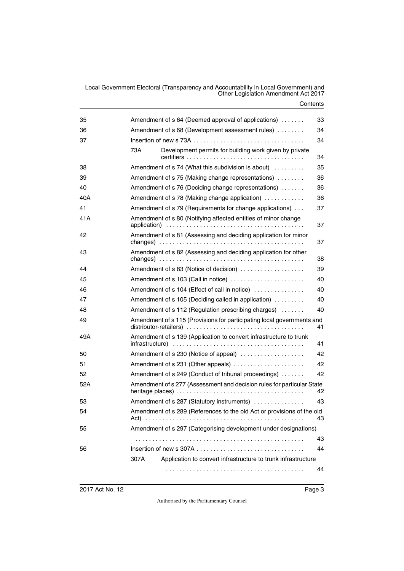| 35  | Amendment of s 64 (Deemed approval of applications)                                                                                                                      | 33 |
|-----|--------------------------------------------------------------------------------------------------------------------------------------------------------------------------|----|
| 36  | Amendment of s 68 (Development assessment rules)                                                                                                                         | 34 |
| 37  |                                                                                                                                                                          | 34 |
|     | Development permits for building work given by private<br>73A                                                                                                            | 34 |
| 38  | Amendment of s 74 (What this subdivision is about)                                                                                                                       | 35 |
| 39  | Amendment of s 75 (Making change representations)                                                                                                                        | 36 |
| 40  | Amendment of s 76 (Deciding change representations)                                                                                                                      | 36 |
| 40A | Amendment of s 78 (Making change application)                                                                                                                            | 36 |
| 41  | Amendment of s 79 (Requirements for change applications)                                                                                                                 | 37 |
| 41A | Amendment of s 80 (Notifying affected entities of minor change                                                                                                           | 37 |
| 42  | Amendment of s 81 (Assessing and deciding application for minor<br>changes) $\ldots \ldots \ldots \ldots \ldots \ldots \ldots \ldots \ldots \ldots \ldots \ldots \ldots$ | 37 |
| 43  | Amendment of s 82 (Assessing and deciding application for other<br>changes) $\ldots \ldots \ldots \ldots \ldots \ldots \ldots \ldots \ldots \ldots \ldots \ldots$        | 38 |
| 44  | Amendment of s 83 (Notice of decision)                                                                                                                                   | 39 |
| 45  | Amendment of s 103 (Call in notice)                                                                                                                                      | 40 |
| 46  | Amendment of s 104 (Effect of call in notice)                                                                                                                            | 40 |
| 47  | Amendment of s 105 (Deciding called in application)                                                                                                                      | 40 |
| 48  | Amendment of s 112 (Regulation prescribing charges)                                                                                                                      | 40 |
| 49  | Amendment of s 115 (Provisions for participating local governments and                                                                                                   | 41 |
| 49A | Amendment of s 139 (Application to convert infrastructure to trunk                                                                                                       | 41 |
| 50  | Amendment of s 230 (Notice of appeal)                                                                                                                                    | 42 |
| 51  | Amendment of s 231 (Other appeals)                                                                                                                                       | 42 |
| 52  | Amendment of s 249 (Conduct of tribunal proceedings)                                                                                                                     | 42 |
| 52A | Amendment of s 277 (Assessment and decision rules for particular State                                                                                                   | 42 |
| 53  | Amendment of s 287 (Statutory instruments)                                                                                                                               | 43 |
| 54  | Amendment of s 289 (References to the old Act or provisions of the old                                                                                                   | 43 |
| 55  | Amendment of s 297 (Categorising development under designations)                                                                                                         |    |
|     |                                                                                                                                                                          | 43 |
| 56  |                                                                                                                                                                          | 44 |
|     | Application to convert infrastructure to trunk infrastructure<br>307A                                                                                                    |    |
|     |                                                                                                                                                                          | 44 |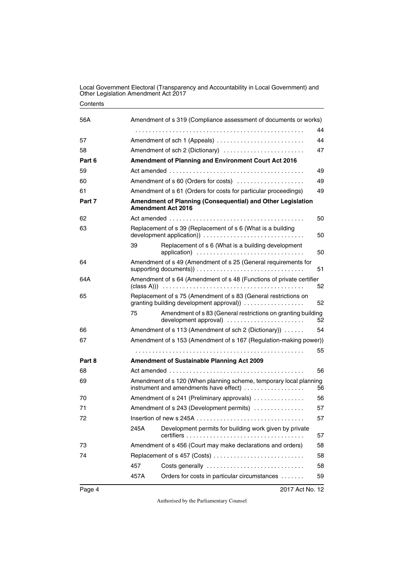| 56A    | Amendment of s 319 (Compliance assessment of documents or works)                                                   |                                                                                                            |    |  |  |
|--------|--------------------------------------------------------------------------------------------------------------------|------------------------------------------------------------------------------------------------------------|----|--|--|
|        |                                                                                                                    |                                                                                                            | 44 |  |  |
| 57     |                                                                                                                    | Amendment of sch 1 (Appeals)<br>44                                                                         |    |  |  |
| 58     |                                                                                                                    | Amendment of sch 2 (Dictionary)<br>47                                                                      |    |  |  |
| Part 6 | Amendment of Planning and Environment Court Act 2016                                                               |                                                                                                            |    |  |  |
| 59     |                                                                                                                    |                                                                                                            |    |  |  |
| 60     |                                                                                                                    | Amendment of s 60 (Orders for costs)                                                                       | 49 |  |  |
| 61     |                                                                                                                    | Amendment of s 61 (Orders for costs for particular proceedings)<br>49                                      |    |  |  |
| Part 7 | Amendment of Planning (Consequential) and Other Legislation<br><b>Amendment Act 2016</b>                           |                                                                                                            |    |  |  |
| 62     |                                                                                                                    |                                                                                                            | 50 |  |  |
| 63     |                                                                                                                    | Replacement of s 39 (Replacement of s 6 (What is a building                                                | 50 |  |  |
|        | 39                                                                                                                 | Replacement of s 6 (What is a building development<br>application)                                         | 50 |  |  |
| 64     |                                                                                                                    | Amendment of s 49 (Amendment of s 25 (General requirements for                                             | 51 |  |  |
| 64A    |                                                                                                                    | Amendment of s 64 (Amendment of s 48 (Functions of private certifier                                       | 52 |  |  |
| 65     |                                                                                                                    | Replacement of s 75 (Amendment of s 83 (General restrictions on<br>granting building development approval) | 52 |  |  |
|        | 75                                                                                                                 | Amendment of s 83 (General restrictions on granting building<br>development approval)                      | 52 |  |  |
| 66     |                                                                                                                    | Amendment of s 113 (Amendment of sch 2 (Dictionary))                                                       | 54 |  |  |
| 67     | Amendment of s 153 (Amendment of s 167 (Regulation-making power))                                                  |                                                                                                            |    |  |  |
|        |                                                                                                                    |                                                                                                            | 55 |  |  |
| Part 8 |                                                                                                                    | <b>Amendment of Sustainable Planning Act 2009</b>                                                          |    |  |  |
| 68     |                                                                                                                    |                                                                                                            | 56 |  |  |
| 69     | Amendment of s 120 (When planning scheme, temporary local planning<br>instrument and amendments have effect)<br>56 |                                                                                                            |    |  |  |
| 70     |                                                                                                                    | Amendment of s 241 (Preliminary approvals)                                                                 | 56 |  |  |
| 71     | Amendment of s 243 (Development permits)<br>57                                                                     |                                                                                                            |    |  |  |
| 72     |                                                                                                                    |                                                                                                            |    |  |  |
|        | 245A                                                                                                               | Development permits for building work given by private                                                     | 57 |  |  |
| 73     |                                                                                                                    | Amendment of s 456 (Court may make declarations and orders)                                                | 58 |  |  |
| 74     |                                                                                                                    | Replacement of s 457 (Costs)                                                                               | 58 |  |  |
|        | 457                                                                                                                | Costs generally                                                                                            | 58 |  |  |
|        | 457A                                                                                                               | Orders for costs in particular circumstances                                                               | 59 |  |  |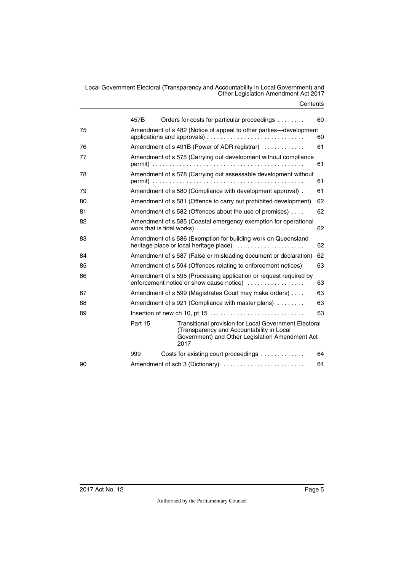|    | 457B                                         |      |                                                               |  | Orders for costs for particular proceedings                                                                     | 60 |
|----|----------------------------------------------|------|---------------------------------------------------------------|--|-----------------------------------------------------------------------------------------------------------------|----|
| 75 |                                              |      |                                                               |  | Amendment of s 482 (Notice of appeal to other parties—development                                               | 60 |
| 76 | Amendment of s 491B (Power of ADR registrar) |      |                                                               |  |                                                                                                                 | 61 |
| 77 |                                              |      |                                                               |  | Amendment of s 575 (Carrying out development without compliance                                                 | 61 |
| 78 |                                              |      |                                                               |  | Amendment of s 578 (Carrying out assessable development without                                                 | 61 |
| 79 |                                              |      |                                                               |  | Amendment of s 580 (Compliance with development approval).                                                      | 61 |
| 80 |                                              |      |                                                               |  | Amendment of s 581 (Offence to carry out prohibited development)                                                | 62 |
| 81 |                                              |      |                                                               |  | Amendment of s 582 (Offences about the use of premises)                                                         | 62 |
| 82 |                                              |      |                                                               |  | Amendment of s 585 (Coastal emergency exemption for operational                                                 | 62 |
| 83 |                                              |      |                                                               |  | Amendment of s 586 (Exemption for building work on Queensland<br>heritage place or local heritage place)        | 62 |
| 84 |                                              |      |                                                               |  | Amendment of s 587 (False or misleading document or declaration)                                                | 62 |
| 85 |                                              |      | Amendment of s 594 (Offences relating to enforcement notices) |  |                                                                                                                 | 63 |
| 86 |                                              |      |                                                               |  | Amendment of s 595 (Processing application or request required by<br>enforcement notice or show cause notice)   | 63 |
| 87 |                                              |      |                                                               |  | Amendment of s 599 (Magistrates Court may make orders)                                                          | 63 |
| 88 |                                              |      |                                                               |  | Amendment of s 921 (Compliance with master plans)                                                               | 63 |
| 89 |                                              |      |                                                               |  |                                                                                                                 | 63 |
|    | Part 15                                      | 2017 | (Transparency and Accountability in Local                     |  | <b>Transitional provision for Local Government Electoral</b><br>Government) and Other Legislation Amendment Act |    |
|    | 999                                          |      |                                                               |  | Costs for existing court proceedings                                                                            | 64 |
| 90 |                                              |      |                                                               |  | Amendment of sch 3 (Dictionary)                                                                                 | 64 |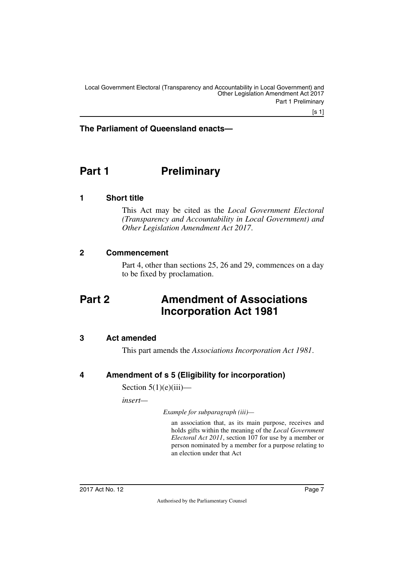### **The Parliament of Queensland enacts—**

# <span id="page-8-0"></span>**Part 1** Preliminary

### <span id="page-8-2"></span>**1 Short title**

<span id="page-8-3"></span><span id="page-8-1"></span>This Act may be cited as the *Local Government Electoral (Transparency and Accountability in Local Government) and Other Legislation Amendment Act 2017*.

### <span id="page-8-4"></span>**2 Commencement**

<span id="page-8-7"></span><span id="page-8-5"></span>Part 4, other than sections 25, 26 and 29, commences on a day to be fixed by proclamation.

# <span id="page-8-6"></span>**Part 2 Amendment of Associations Incorporation Act 1981**

### <span id="page-8-8"></span>**3 Act amended**

<span id="page-8-11"></span><span id="page-8-9"></span>This part amends the *Associations Incorporation Act 1981*.

### <span id="page-8-10"></span>**4 Amendment of s 5 (Eligibility for incorporation)**

Section  $5(1)(e)(iii)$ —

*insert—*

*Example for subparagraph (iii)—*

an association that, as its main purpose, receives and holds gifts within the meaning of the *Local Government Electoral Act 2011*, section 107 for use by a member or person nominated by a member for a purpose relating to an election under that Act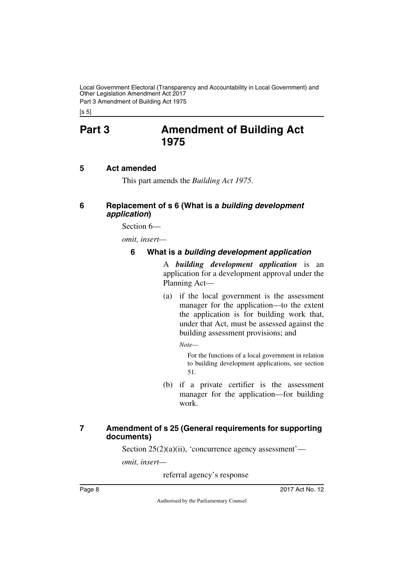Local Government Electoral (Transparency and Accountability in Local Government) and Other Legislation Amendment Act 2017 Part 3 Amendment of Building Act 1975

<span id="page-9-0"></span> $[s 5]$ 

# **Part 3 Amendment of Building Act 1975**

### <span id="page-9-2"></span>**5 Act amended**

<span id="page-9-5"></span><span id="page-9-3"></span><span id="page-9-1"></span>This part amends the *Building Act 1975*.

### <span id="page-9-4"></span>**6 Replacement of s 6 (What is a** *building development application***)**

Section 6—

*omit, insert—*

### <span id="page-9-7"></span><span id="page-9-6"></span>**6 What is a** *building development application*

A *building development application* is an application for a development approval under the Planning Act—

(a) if the local government is the assessment manager for the application—to the extent the application is for building work that, under that Act, must be assessed against the building assessment provisions; and

*Note—*

For the functions of a local government in relation to building development applications, see section 51.

(b) if a private certifier is the assessment manager for the application—for building work.

### <span id="page-9-9"></span><span id="page-9-8"></span>**7 Amendment of s 25 (General requirements for supporting documents)**

Section  $25(2)(a)(ii)$ , 'concurrence agency assessment'—

*omit, insert—*

referral agency's response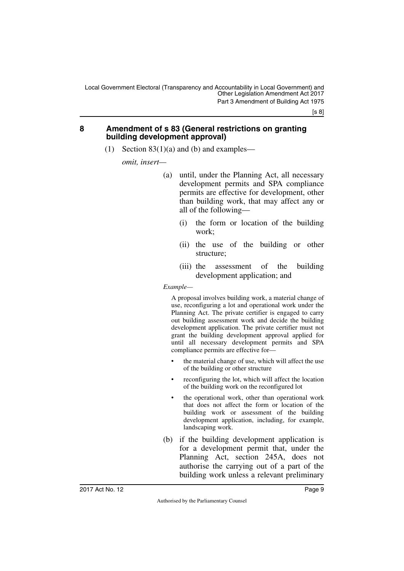#### <span id="page-10-1"></span><span id="page-10-0"></span>**8 Amendment of s 83 (General restrictions on granting building development approval)**

(1) Section  $83(1)(a)$  and (b) and examples—

*omit, insert—*

- (a) until, under the Planning Act, all necessary development permits and SPA compliance permits are effective for development, other than building work, that may affect any or all of the following—
	- (i) the form or location of the building work;
	- (ii) the use of the building or other structure;
	- (iii) the assessment of the building development application; and

*Example—*

A proposal involves building work, a material change of use, reconfiguring a lot and operational work under the Planning Act. The private certifier is engaged to carry out building assessment work and decide the building development application. The private certifier must not grant the building development approval applied for until all necessary development permits and SPA compliance permits are effective for—

- the material change of use, which will affect the use of the building or other structure
- reconfiguring the lot, which will affect the location of the building work on the reconfigured lot
- the operational work, other than operational work that does not affect the form or location of the building work or assessment of the building development application, including, for example, landscaping work.
- (b) if the building development application is for a development permit that, under the Planning Act, section 245A, does not authorise the carrying out of a part of the building work unless a relevant preliminary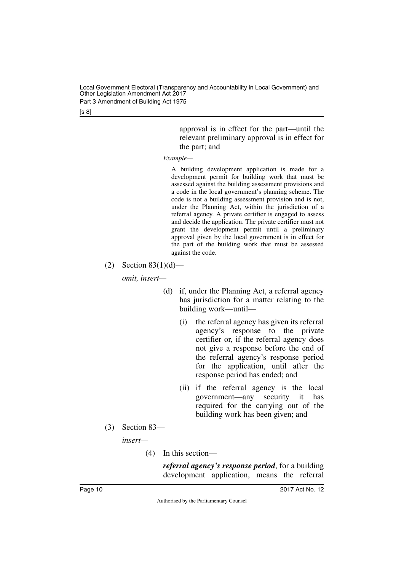Local Government Electoral (Transparency and Accountability in Local Government) and Other Legislation Amendment Act 2017 Part 3 Amendment of Building Act 1975

[s 8]

approval is in effect for the part—until the relevant preliminary approval is in effect for the part; and

*Example—*

A building development application is made for a development permit for building work that must be assessed against the building assessment provisions and a code in the local government's planning scheme. The code is not a building assessment provision and is not, under the Planning Act, within the jurisdiction of a referral agency. A private certifier is engaged to assess and decide the application. The private certifier must not grant the development permit until a preliminary approval given by the local government is in effect for the part of the building work that must be assessed against the code.

(2) Section  $83(1)(d)$ —

*omit, insert—*

- (d) if, under the Planning Act, a referral agency has jurisdiction for a matter relating to the building work—until—
	- (i) the referral agency has given its referral agency's response to the private certifier or, if the referral agency does not give a response before the end of the referral agency's response period for the application, until after the response period has ended; and
	- (ii) if the referral agency is the local government—any security it has required for the carrying out of the building work has been given; and
- (3) Section 83—

*insert—*

(4) In this section—

*referral agency's response period*, for a building development application, means the referral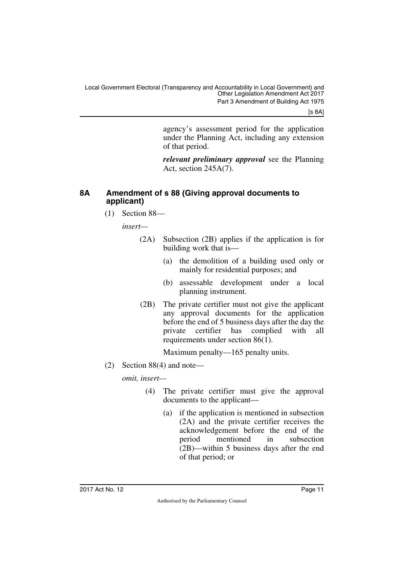[s 8A]

agency's assessment period for the application under the Planning Act, including any extension of that period.

*relevant preliminary approval* see the Planning Act, section 245A(7).

### <span id="page-12-0"></span>**8A Amendment of s 88 (Giving approval documents to applicant)**

<span id="page-12-1"></span>(1) Section 88—

*insert—*

- (2A) Subsection (2B) applies if the application is for building work that is—
	- (a) the demolition of a building used only or mainly for residential purposes; and
	- (b) assessable development under a local planning instrument.
- (2B) The private certifier must not give the applicant any approval documents for the application before the end of 5 business days after the day the private certifier has complied with all requirements under section 86(1).

Maximum penalty—165 penalty units.

(2) Section 88(4) and note—

- (4) The private certifier must give the approval documents to the applicant—
	- (a) if the application is mentioned in subsection (2A) and the private certifier receives the acknowledgement before the end of the period mentioned in subsection (2B)—within 5 business days after the end of that period; or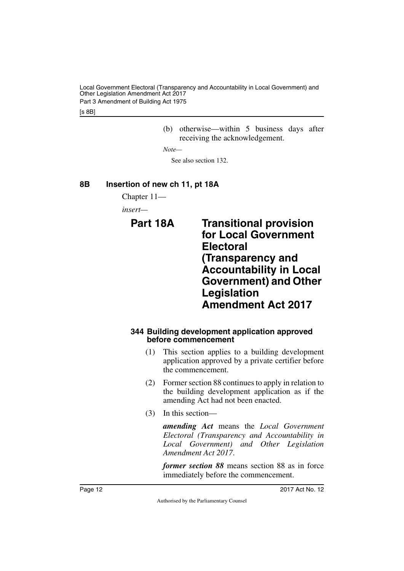Local Government Electoral (Transparency and Accountability in Local Government) and Other Legislation Amendment Act 2017 Part 3 Amendment of Building Act 1975

[s 8B]

(b) otherwise—within 5 business days after receiving the acknowledgement.

*Note—*

<span id="page-13-3"></span>See also section 132.

### <span id="page-13-0"></span>**8B Insertion of new ch 11, pt 18A**

<span id="page-13-1"></span>Chapter 11—

<span id="page-13-2"></span>*insert—*

**Part 18A Transitional provision for Local Government Electoral (Transparency and Accountability in Local Government) and Other Legislation Amendment Act 2017**

#### <span id="page-13-5"></span><span id="page-13-4"></span>**344 Building development application approved before commencement**

- (1) This section applies to a building development application approved by a private certifier before the commencement.
- (2) Former section 88 continues to apply in relation to the building development application as if the amending Act had not been enacted.
- (3) In this section—

*amending Act* means the *Local Government Electoral (Transparency and Accountability in Local Government) and Other Legislation Amendment Act 2017*.

*former section 88* means section 88 as in force immediately before the commencement.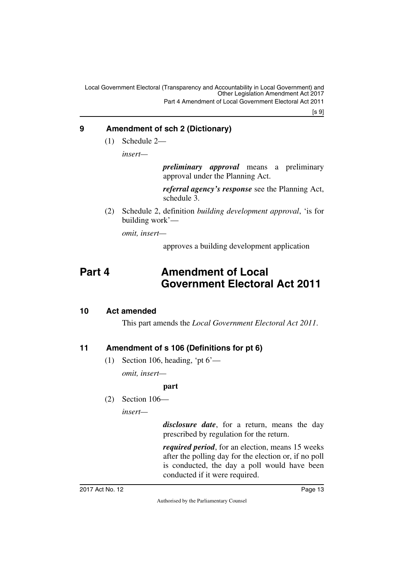[s 9]

### <span id="page-14-0"></span>**9 Amendment of sch 2 (Dictionary)**

<span id="page-14-1"></span>(1) Schedule 2—

*insert—*

*preliminary approval* means a preliminary approval under the Planning Act.

*referral agency's response* see the Planning Act, schedule 3.

(2) Schedule 2, definition *building development approval*, 'is for building work'—

*omit, insert—*

<span id="page-14-3"></span>approves a building development application

# <span id="page-14-2"></span>**Part 4 Amendment of Local Government Electoral Act 2011**

### <span id="page-14-4"></span>**10 Act amended**

<span id="page-14-5"></span>This part amends the *Local Government Electoral Act 2011*.

### <span id="page-14-6"></span>**11 Amendment of s 106 (Definitions for pt 6)**

<span id="page-14-7"></span>(1) Section 106, heading, 'pt  $6'$ —

*omit, insert—*

#### **part**

(2) Section 106—

*insert—*

*disclosure date*, for a return, means the day prescribed by regulation for the return.

*required period*, for an election, means 15 weeks after the polling day for the election or, if no poll is conducted, the day a poll would have been conducted if it were required.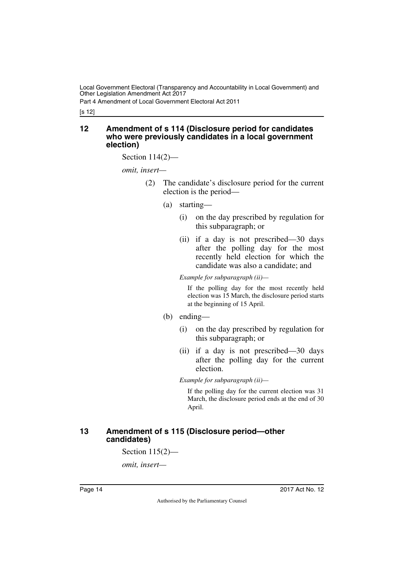Part 4 Amendment of Local Government Electoral Act 2011

[s 12]

#### <span id="page-15-1"></span><span id="page-15-0"></span>**12 Amendment of s 114 (Disclosure period for candidates who were previously candidates in a local government election)**

Section 114(2)—

*omit, insert—*

- (2) The candidate's disclosure period for the current election is the period—
	- (a) starting—
		- (i) on the day prescribed by regulation for this subparagraph; or
		- (ii) if a day is not prescribed—30 days after the polling day for the most recently held election for which the candidate was also a candidate; and

*Example for subparagraph (ii)—*

If the polling day for the most recently held election was 15 March, the disclosure period starts at the beginning of 15 April.

#### (b) ending—

- (i) on the day prescribed by regulation for this subparagraph; or
- (ii) if a day is not prescribed—30 days after the polling day for the current election.

*Example for subparagraph (ii)—*

If the polling day for the current election was 31 March, the disclosure period ends at the end of 30 April.

### <span id="page-15-3"></span><span id="page-15-2"></span>**13 Amendment of s 115 (Disclosure period—other candidates)**

Section 115(2)—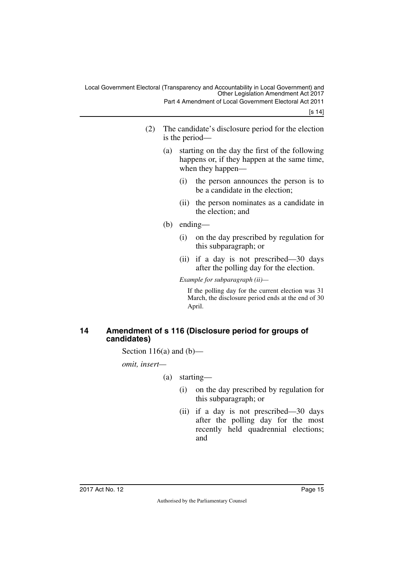[s 14]

- (2) The candidate's disclosure period for the election is the period—
	- (a) starting on the day the first of the following happens or, if they happen at the same time, when they happen—
		- (i) the person announces the person is to be a candidate in the election;
		- (ii) the person nominates as a candidate in the election; and
	- (b) ending—
		- (i) on the day prescribed by regulation for this subparagraph; or
		- (ii) if a day is not prescribed—30 days after the polling day for the election.

*Example for subparagraph (ii)—*

If the polling day for the current election was 31 March, the disclosure period ends at the end of 30 April.

### <span id="page-16-1"></span><span id="page-16-0"></span>**14 Amendment of s 116 (Disclosure period for groups of candidates)**

Section 116(a) and  $(b)$ —

- (a) starting—
	- (i) on the day prescribed by regulation for this subparagraph; or
	- (ii) if a day is not prescribed—30 days after the polling day for the most recently held quadrennial elections; and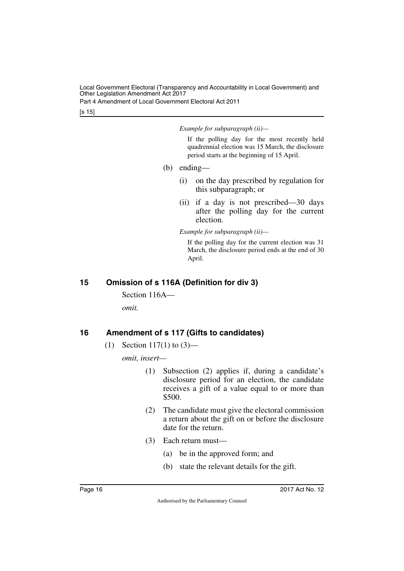Part 4 Amendment of Local Government Electoral Act 2011

[s 15]

#### *Example for subparagraph (ii)—*

If the polling day for the most recently held quadrennial election was 15 March, the disclosure period starts at the beginning of 15 April.

- (b) ending—
	- (i) on the day prescribed by regulation for this subparagraph; or
	- (ii) if a day is not prescribed—30 days after the polling day for the current election.

*Example for subparagraph (ii)—*

If the polling day for the current election was 31 March, the disclosure period ends at the end of 30 April.

### <span id="page-17-0"></span>**15 Omission of s 116A (Definition for div 3)**

<span id="page-17-1"></span>Section 116A—

*omit.*

### <span id="page-17-2"></span>**16 Amendment of s 117 (Gifts to candidates)**

<span id="page-17-3"></span>(1) Section 117(1) to  $(3)$ —

- (1) Subsection (2) applies if, during a candidate's disclosure period for an election, the candidate receives a gift of a value equal to or more than \$500.
- (2) The candidate must give the electoral commission a return about the gift on or before the disclosure date for the return.
- (3) Each return must—
	- (a) be in the approved form; and
	- (b) state the relevant details for the gift.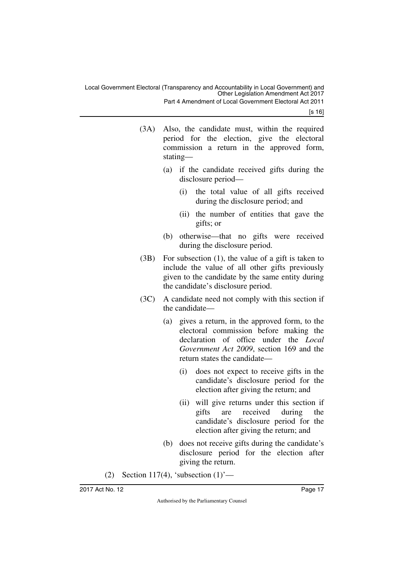Local Government Electoral (Transparency and Accountability in Local Government) and Other Legislation Amendment Act 2017 Part 4 Amendment of Local Government Electoral Act 2011

[s 16]

- (3A) Also, the candidate must, within the required period for the election, give the electoral commission a return in the approved form, stating—
	- (a) if the candidate received gifts during the disclosure period—
		- (i) the total value of all gifts received during the disclosure period; and
		- (ii) the number of entities that gave the gifts; or
	- (b) otherwise—that no gifts were received during the disclosure period.
- (3B) For subsection (1), the value of a gift is taken to include the value of all other gifts previously given to the candidate by the same entity during the candidate's disclosure period.
- (3C) A candidate need not comply with this section if the candidate—
	- (a) gives a return, in the approved form, to the electoral commission before making the declaration of office under the *Local Government Act 2009*, section 169 and the return states the candidate—
		- (i) does not expect to receive gifts in the candidate's disclosure period for the election after giving the return; and
		- (ii) will give returns under this section if gifts are received during the candidate's disclosure period for the election after giving the return; and
	- (b) does not receive gifts during the candidate's disclosure period for the election after giving the return.
- (2) Section 117(4), 'subsection  $(1)$ '—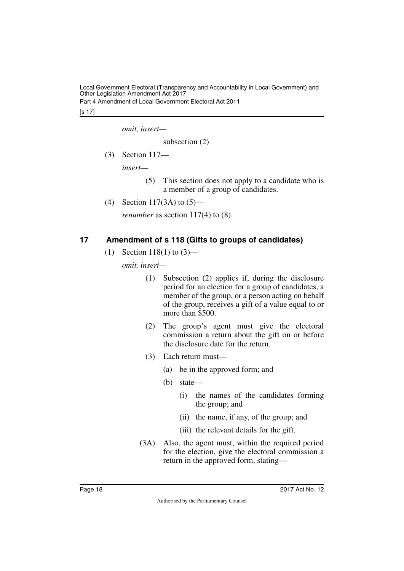Part 4 Amendment of Local Government Electoral Act 2011

[s 17]

*omit, insert—*

subsection (2)

(3) Section 117—

*insert—*

- (5) This section does not apply to a candidate who is a member of a group of candidates.
- (4) Section 117(3A) to (5)—

*renumber* as section 117(4) to (8).

### <span id="page-19-0"></span>**17 Amendment of s 118 (Gifts to groups of candidates)**

<span id="page-19-1"></span>(1) Section 118(1) to (3)—

- (1) Subsection (2) applies if, during the disclosure period for an election for a group of candidates, a member of the group, or a person acting on behalf of the group, receives a gift of a value equal to or more than \$500.
- (2) The group's agent must give the electoral commission a return about the gift on or before the disclosure date for the return.
- (3) Each return must—
	- (a) be in the approved form; and
	- (b) state—
		- (i) the names of the candidates forming the group; and
		- (ii) the name, if any, of the group; and
		- (iii) the relevant details for the gift.
- (3A) Also, the agent must, within the required period for the election, give the electoral commission a return in the approved form, stating—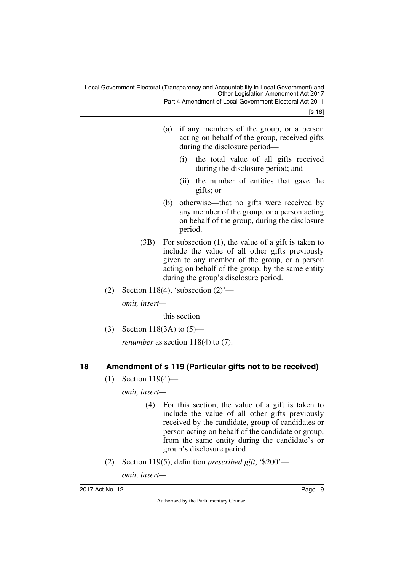Part 4 Amendment of Local Government Electoral Act 2011

[s 18]

- (a) if any members of the group, or a person acting on behalf of the group, received gifts during the disclosure period—
	- (i) the total value of all gifts received during the disclosure period; and
	- (ii) the number of entities that gave the gifts; or
- (b) otherwise—that no gifts were received by any member of the group, or a person acting on behalf of the group, during the disclosure period.
- (3B) For subsection (1), the value of a gift is taken to include the value of all other gifts previously given to any member of the group, or a person acting on behalf of the group, by the same entity during the group's disclosure period.
- (2) Section 118(4), 'subsection  $(2)$ '—

*omit, insert—*

this section

(3) Section 118(3A) to (5)—

*renumber* as section 118(4) to (7).

### <span id="page-20-0"></span>**18 Amendment of s 119 (Particular gifts not to be received)**

<span id="page-20-1"></span>(1) Section 119(4)—

*omit, insert—*

- (4) For this section, the value of a gift is taken to include the value of all other gifts previously received by the candidate, group of candidates or person acting on behalf of the candidate or group, from the same entity during the candidate's or group's disclosure period.
- (2) Section 119(5), definition *prescribed gift*, '\$200'—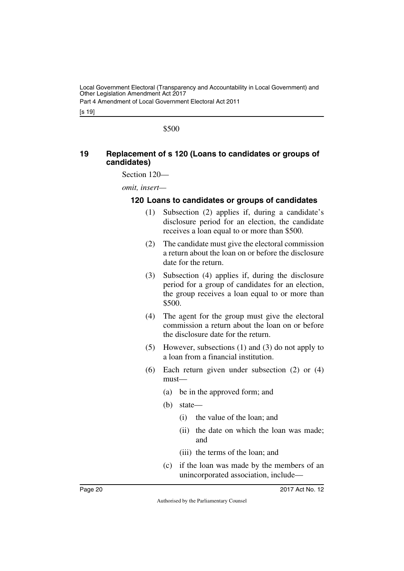Part 4 Amendment of Local Government Electoral Act 2011

[s 19]

\$500

### <span id="page-21-1"></span><span id="page-21-0"></span>**19 Replacement of s 120 (Loans to candidates or groups of candidates)**

Section 120—

*omit, insert—*

### <span id="page-21-3"></span><span id="page-21-2"></span>**120 Loans to candidates or groups of candidates**

- (1) Subsection (2) applies if, during a candidate's disclosure period for an election, the candidate receives a loan equal to or more than \$500.
- (2) The candidate must give the electoral commission a return about the loan on or before the disclosure date for the return.
- (3) Subsection (4) applies if, during the disclosure period for a group of candidates for an election, the group receives a loan equal to or more than \$500.
- (4) The agent for the group must give the electoral commission a return about the loan on or before the disclosure date for the return.
- (5) However, subsections (1) and (3) do not apply to a loan from a financial institution.
- (6) Each return given under subsection (2) or (4) must—
	- (a) be in the approved form; and
	- (b) state—
		- (i) the value of the loan; and
		- (ii) the date on which the loan was made; and
		- (iii) the terms of the loan; and
	- (c) if the loan was made by the members of an unincorporated association, include—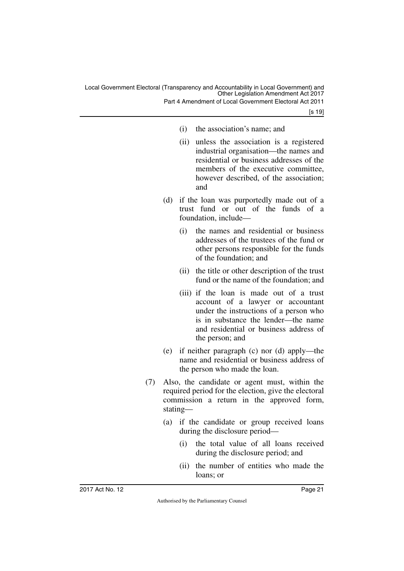Part 4 Amendment of Local Government Electoral Act 2011

- (i) the association's name; and
- (ii) unless the association is a registered industrial organisation—the names and residential or business addresses of the members of the executive committee, however described, of the association; and
- (d) if the loan was purportedly made out of a trust fund or out of the funds of a foundation, include—
	- (i) the names and residential or business addresses of the trustees of the fund or other persons responsible for the funds of the foundation; and
	- (ii) the title or other description of the trust fund or the name of the foundation; and
	- (iii) if the loan is made out of a trust account of a lawyer or accountant under the instructions of a person who is in substance the lender—the name and residential or business address of the person; and
- (e) if neither paragraph (c) nor (d) apply—the name and residential or business address of the person who made the loan.
- (7) Also, the candidate or agent must, within the required period for the election, give the electoral commission a return in the approved form, stating—
	- (a) if the candidate or group received loans during the disclosure period—
		- (i) the total value of all loans received during the disclosure period; and
		- (ii) the number of entities who made the loans; or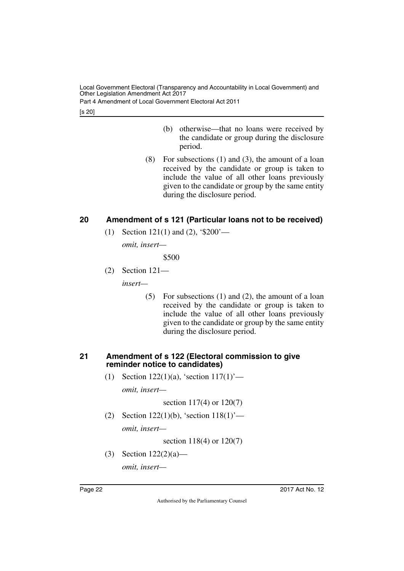Part 4 Amendment of Local Government Electoral Act 2011

[s 20]

- (b) otherwise—that no loans were received by the candidate or group during the disclosure period.
- (8) For subsections (1) and (3), the amount of a loan received by the candidate or group is taken to include the value of all other loans previously given to the candidate or group by the same entity during the disclosure period.

### <span id="page-23-0"></span>**20 Amendment of s 121 (Particular loans not to be received)**

<span id="page-23-1"></span>(1) Section 121(1) and (2), '\$200'—

*omit, insert—*

\$500

(2) Section 121—

*insert—*

(5) For subsections (1) and (2), the amount of a loan received by the candidate or group is taken to include the value of all other loans previously given to the candidate or group by the same entity during the disclosure period.

### <span id="page-23-2"></span>**21 Amendment of s 122 (Electoral commission to give reminder notice to candidates)**

<span id="page-23-3"></span>(1) Section 122(1)(a), 'section  $117(1)$ '—

*omit, insert—*

section 117(4) or 120(7)

(2) Section 122(1)(b), 'section 118(1)'—

*omit, insert—*

section 118(4) or 120(7)

(3) Section 122(2)(a)—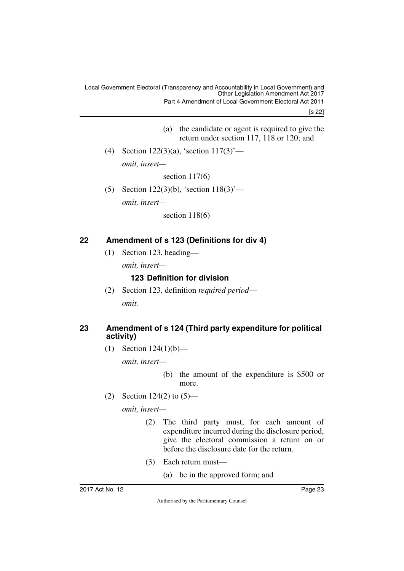[s 22]

- (a) the candidate or agent is required to give the return under section 117, 118 or 120; and
- (4) Section 122(3)(a), 'section 117(3)' *omit, insert—*

section 117(6)

(5) Section 122(3)(b), 'section 118(3)' *omit, insert—*

section 118(6)

### <span id="page-24-0"></span>**22 Amendment of s 123 (Definitions for div 4)**

<span id="page-24-1"></span>(1) Section 123, heading—

*omit, insert—*

### <span id="page-24-3"></span><span id="page-24-2"></span>**123 Definition for division**

(2) Section 123, definition *required period omit.*

### <span id="page-24-5"></span><span id="page-24-4"></span>**23 Amendment of s 124 (Third party expenditure for political activity)**

(1) Section 124(1)(b)—

*omit, insert—*

(b) the amount of the expenditure is \$500 or more.

(2) Section 124(2) to (5)—

- (2) The third party must, for each amount of expenditure incurred during the disclosure period, give the electoral commission a return on or before the disclosure date for the return.
- (3) Each return must—
	- (a) be in the approved form; and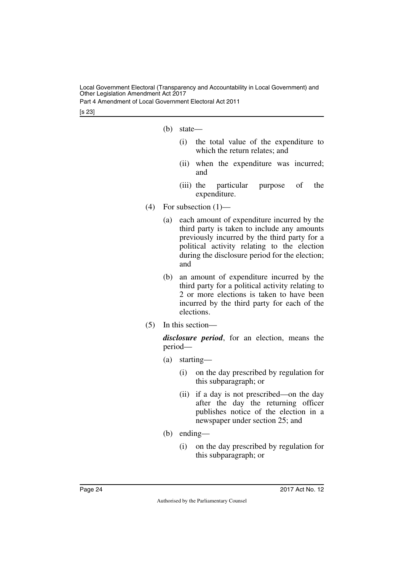Part 4 Amendment of Local Government Electoral Act 2011

[s 23]

- (b) state—
	- (i) the total value of the expenditure to which the return relates; and
	- (ii) when the expenditure was incurred; and
	- (iii) the particular purpose of the expenditure.
- $(4)$  For subsection  $(1)$ 
	- (a) each amount of expenditure incurred by the third party is taken to include any amounts previously incurred by the third party for a political activity relating to the election during the disclosure period for the election; and
	- (b) an amount of expenditure incurred by the third party for a political activity relating to 2 or more elections is taken to have been incurred by the third party for each of the elections.
- (5) In this section—

*disclosure period*, for an election, means the period—

- (a) starting—
	- (i) on the day prescribed by regulation for this subparagraph; or
	- (ii) if a day is not prescribed—on the day after the day the returning officer publishes notice of the election in a newspaper under section 25; and
- (b) ending—
	- (i) on the day prescribed by regulation for this subparagraph; or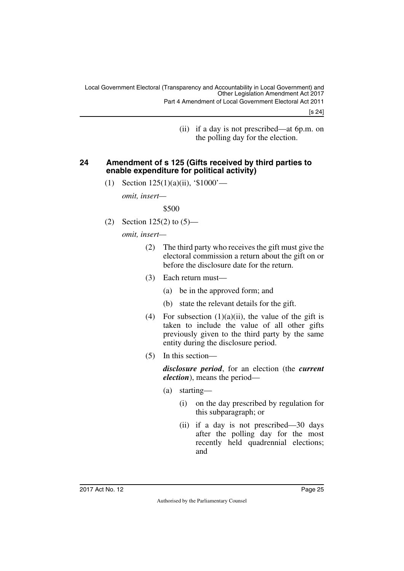[s 24]

(ii) if a day is not prescribed—at 6p.m. on the polling day for the election.

#### <span id="page-26-0"></span>**24 Amendment of s 125 (Gifts received by third parties to enable expenditure for political activity)**

<span id="page-26-1"></span>(1) Section 125(1)(a)(ii), '\$1000'—

*omit, insert—*

\$500

(2) Section  $125(2)$  to  $(5)$ —

*omit, insert—*

- (2) The third party who receives the gift must give the electoral commission a return about the gift on or before the disclosure date for the return.
- (3) Each return must—
	- (a) be in the approved form; and
	- (b) state the relevant details for the gift.
- (4) For subsection  $(1)(a)(ii)$ , the value of the gift is taken to include the value of all other gifts previously given to the third party by the same entity during the disclosure period.
- (5) In this section—

*disclosure period*, for an election (the *current election*), means the period—

- (a) starting—
	- (i) on the day prescribed by regulation for this subparagraph; or
	- (ii) if a day is not prescribed—30 days after the polling day for the most recently held quadrennial elections; and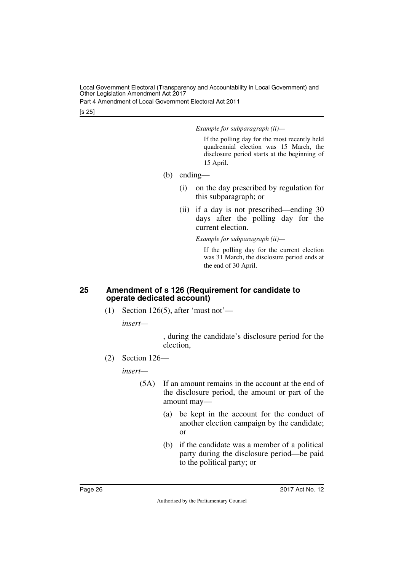Part 4 Amendment of Local Government Electoral Act 2011

[s 25]

*Example for subparagraph (ii)—*

If the polling day for the most recently held quadrennial election was 15 March, the disclosure period starts at the beginning of 15 April.

- (b) ending—
	- (i) on the day prescribed by regulation for this subparagraph; or
	- (ii) if a day is not prescribed—ending 30 days after the polling day for the current election.

*Example for subparagraph (ii)—*

If the polling day for the current election was 31 March, the disclosure period ends at the end of 30 April.

#### <span id="page-27-1"></span><span id="page-27-0"></span>**25 Amendment of s 126 (Requirement for candidate to operate dedicated account)**

(1) Section 126(5), after 'must not'—

*insert—*

, during the candidate's disclosure period for the election,

(2) Section 126—

*insert—*

- (5A) If an amount remains in the account at the end of the disclosure period, the amount or part of the amount may—
	- (a) be kept in the account for the conduct of another election campaign by the candidate; or
	- (b) if the candidate was a member of a political party during the disclosure period—be paid to the political party; or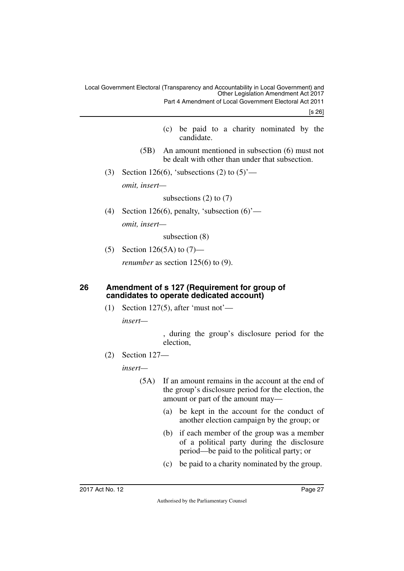[s 26]

- (c) be paid to a charity nominated by the candidate.
- (5B) An amount mentioned in subsection (6) must not be dealt with other than under that subsection.
- (3) Section 126(6), 'subsections (2) to  $(5)$ ' *omit, insert—*

subsections  $(2)$  to  $(7)$ 

(4) Section 126(6), penalty, 'subsection  $(6)$ ' *omit, insert—*

subsection (8)

(5) Section 126(5A) to  $(7)$ —

<span id="page-28-1"></span>*renumber* as section 125(6) to (9).

#### <span id="page-28-0"></span>**26 Amendment of s 127 (Requirement for group of candidates to operate dedicated account)**

(1) Section 127(5), after 'must not'—

*insert—*

, during the group's disclosure period for the election,

(2) Section 127—

*insert—*

- (5A) If an amount remains in the account at the end of the group's disclosure period for the election, the amount or part of the amount may—
	- (a) be kept in the account for the conduct of another election campaign by the group; or
	- (b) if each member of the group was a member of a political party during the disclosure period—be paid to the political party; or
	- (c) be paid to a charity nominated by the group.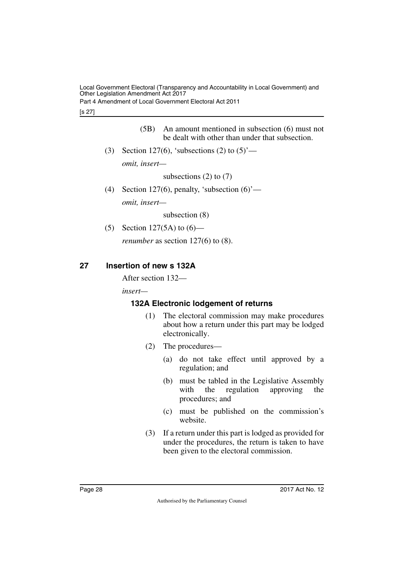Part 4 Amendment of Local Government Electoral Act 2011

#### [s 27]

- (5B) An amount mentioned in subsection (6) must not be dealt with other than under that subsection.
- (3) Section 127(6), 'subsections (2) to  $(5)$ ' *omit, insert—*

subsections  $(2)$  to  $(7)$ 

(4) Section 127(6), penalty, 'subsection  $(6)$ '—

*omit, insert—*

subsection (8)

(5) Section 127(5A) to (6)—

<span id="page-29-1"></span>*renumber* as section 127(6) to (8).

### <span id="page-29-0"></span>**27 Insertion of new s 132A**

After section 132—

*insert—*

### <span id="page-29-2"></span>**132A Electronic lodgement of returns**

- <span id="page-29-3"></span>(1) The electoral commission may make procedures about how a return under this part may be lodged electronically.
- (2) The procedures—
	- (a) do not take effect until approved by a regulation; and
	- (b) must be tabled in the Legislative Assembly with the regulation approving the procedures; and
	- (c) must be published on the commission's website.
- (3) If a return under this part is lodged as provided for under the procedures, the return is taken to have been given to the electoral commission.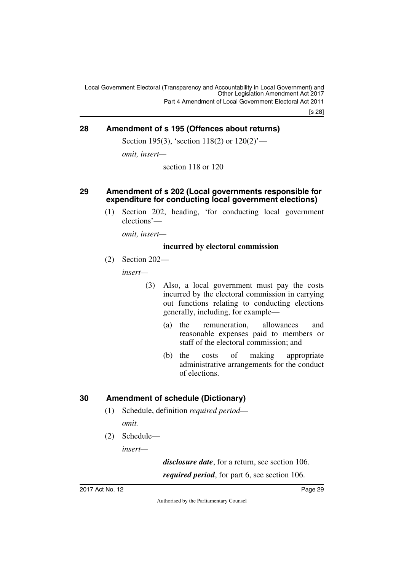[s 28]

### <span id="page-30-0"></span>**28 Amendment of s 195 (Offences about returns)**

<span id="page-30-1"></span>Section 195(3), 'section 118(2) or  $120(2)$ '—

*omit, insert—*

section 118 or 120

#### <span id="page-30-3"></span><span id="page-30-2"></span>**29 Amendment of s 202 (Local governments responsible for expenditure for conducting local government elections)**

(1) Section 202, heading, 'for conducting local government elections'—

*omit, insert—*

#### **incurred by electoral commission**

(2) Section 202—

*insert—*

- (3) Also, a local government must pay the costs incurred by the electoral commission in carrying out functions relating to conducting elections generally, including, for example—
	- (a) the remuneration, allowances and reasonable expenses paid to members or staff of the electoral commission; and
	- (b) the costs of making appropriate administrative arrangements for the conduct of elections.

### <span id="page-30-4"></span>**30 Amendment of schedule (Dictionary)**

- <span id="page-30-5"></span>(1) Schedule, definition *required period omit.*
- (2) Schedule—

*insert—*

*disclosure date*, for a return, see section 106. *required period*, for part 6, see section 106.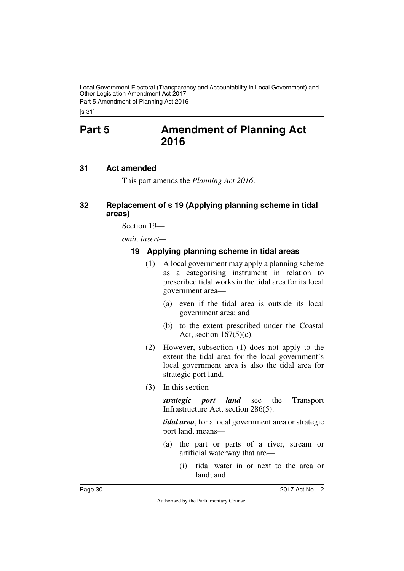Part 5 Amendment of Planning Act 2016

<span id="page-31-0"></span>[s 31]

# **Part 5 Amendment of Planning Act 2016**

### <span id="page-31-2"></span>**31 Act amended**

<span id="page-31-5"></span><span id="page-31-3"></span><span id="page-31-1"></span>This part amends the *Planning Act 2016*.

### <span id="page-31-4"></span>**32 Replacement of s 19 (Applying planning scheme in tidal areas)**

Section 19—

*omit, insert—*

### <span id="page-31-7"></span><span id="page-31-6"></span>**19 Applying planning scheme in tidal areas**

- (1) A local government may apply a planning scheme as a categorising instrument in relation to prescribed tidal works in the tidal area for its local government area—
	- (a) even if the tidal area is outside its local government area; and
	- (b) to the extent prescribed under the Coastal Act, section  $167(5)(c)$ .
- (2) However, subsection (1) does not apply to the extent the tidal area for the local government's local government area is also the tidal area for strategic port land.
- (3) In this section—

*strategic port land* see the Transport Infrastructure Act, section 286(5).

*tidal area*, for a local government area or strategic port land, means—

- (a) the part or parts of a river, stream or artificial waterway that are—
	- (i) tidal water in or next to the area or land; and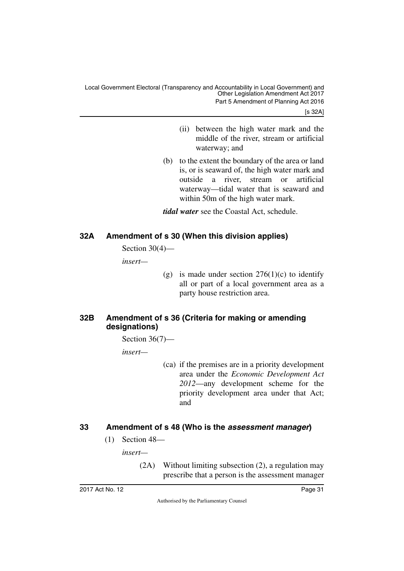[s 32A]

- (ii) between the high water mark and the middle of the river, stream or artificial waterway; and
- (b) to the extent the boundary of the area or land is, or is seaward of, the high water mark and outside a river, stream or artificial waterway—tidal water that is seaward and within 50m of the high water mark.

*tidal water* see the Coastal Act, schedule.

### <span id="page-32-0"></span>**32A Amendment of s 30 (When this division applies)**

<span id="page-32-1"></span>Section 30(4)—

*insert—*

(g) is made under section  $276(1)(c)$  to identify all or part of a local government area as a party house restriction area.

### <span id="page-32-3"></span><span id="page-32-2"></span>**32B Amendment of s 36 (Criteria for making or amending designations)**

Section 36(7)—

*insert—*

(ca) if the premises are in a priority development area under the *Economic Development Act 2012*—any development scheme for the priority development area under that Act; and

### <span id="page-32-4"></span>**33 Amendment of s 48 (Who is the** *assessment manager***)**

<span id="page-32-5"></span>(1) Section 48—

*insert—*

(2A) Without limiting subsection (2), a regulation may prescribe that a person is the assessment manager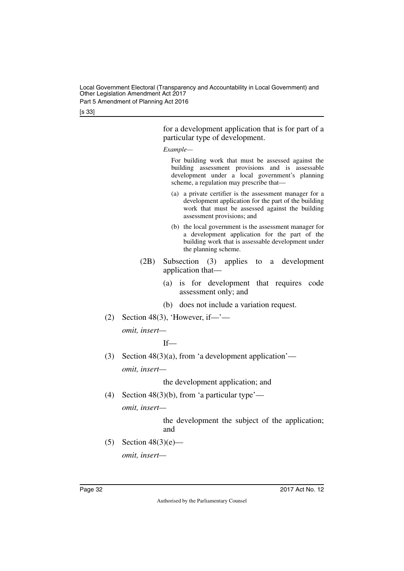[s 33]

for a development application that is for part of a particular type of development.

*Example—*

For building work that must be assessed against the building assessment provisions and is assessable development under a local government's planning scheme, a regulation may prescribe that—

- (a) a private certifier is the assessment manager for a development application for the part of the building work that must be assessed against the building assessment provisions; and
- (b) the local government is the assessment manager for a development application for the part of the building work that is assessable development under the planning scheme.
- (2B) Subsection (3) applies to a development application that—
	- (a) is for development that requires code assessment only; and
	- (b) does not include a variation request.
- $(2)$  Section 48(3), 'However, if—'—

*omit, insert—*

If—

(3) Section  $48(3)(a)$ , from 'a development application' *omit, insert—*

the development application; and

(4) Section 48(3)(b), from 'a particular type'—

*omit, insert—*

the development the subject of the application; and

(5) Section  $48(3)(e)$  *omit, insert—*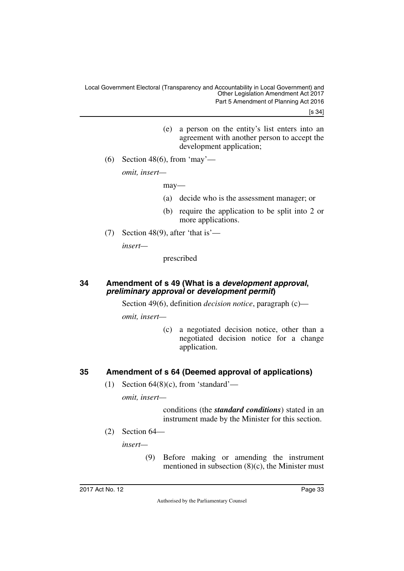[s 34]

- (e) a person on the entity's list enters into an agreement with another person to accept the development application:
- (6) Section 48(6), from 'may'—

*omit, insert—*

may—

- (a) decide who is the assessment manager; or
- (b) require the application to be split into 2 or more applications.
- (7) Section 48(9), after 'that is'—

*insert—*

prescribed

#### <span id="page-34-1"></span><span id="page-34-0"></span>**34 Amendment of s 49 (What is a** *development approval***,**  *preliminary approval* **or** *development permit***)**

Section 49(6), definition *decision notice*, paragraph (c)—

*omit, insert—*

(c) a negotiated decision notice, other than a negotiated decision notice for a change application.

### <span id="page-34-2"></span>**35 Amendment of s 64 (Deemed approval of applications)**

<span id="page-34-3"></span>(1) Section  $64(8)(c)$ , from 'standard'—

*omit, insert—*

conditions (the *standard conditions*) stated in an instrument made by the Minister for this section.

(2) Section 64—

*insert—*

(9) Before making or amending the instrument mentioned in subsection (8)(c), the Minister must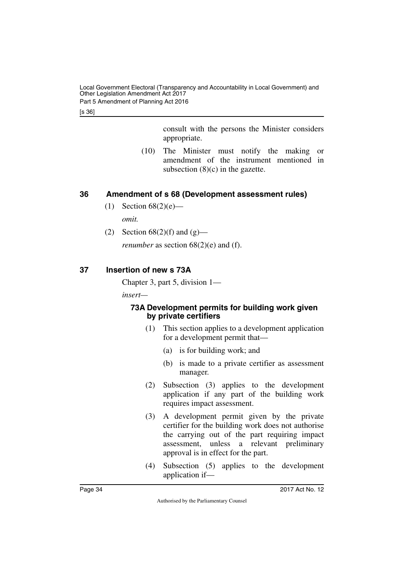Local Government Electoral (Transparency and Accountability in Local Government) and Other Legislation Amendment Act 2017 Part 5 Amendment of Planning Act 2016

[s 36]

consult with the persons the Minister considers appropriate.

(10) The Minister must notify the making or amendment of the instrument mentioned in subsection  $(8)(c)$  in the gazette.

### <span id="page-35-0"></span>**36 Amendment of s 68 (Development assessment rules)**

- <span id="page-35-1"></span>(1) Section  $68(2)(e)$  *omit.*
- (2) Section  $68(2)(f)$  and  $(g)$  *renumber* as section 68(2)(e) and (f).

### <span id="page-35-2"></span>**37 Insertion of new s 73A**

<span id="page-35-3"></span>Chapter 3, part 5, division 1—

*insert—*

### <span id="page-35-5"></span><span id="page-35-4"></span>**73A Development permits for building work given by private certifiers**

- (1) This section applies to a development application for a development permit that—
	- (a) is for building work; and
	- (b) is made to a private certifier as assessment manager.
- (2) Subsection (3) applies to the development application if any part of the building work requires impact assessment.
- (3) A development permit given by the private certifier for the building work does not authorise the carrying out of the part requiring impact assessment, unless a relevant preliminary approval is in effect for the part.
- (4) Subsection (5) applies to the development application if—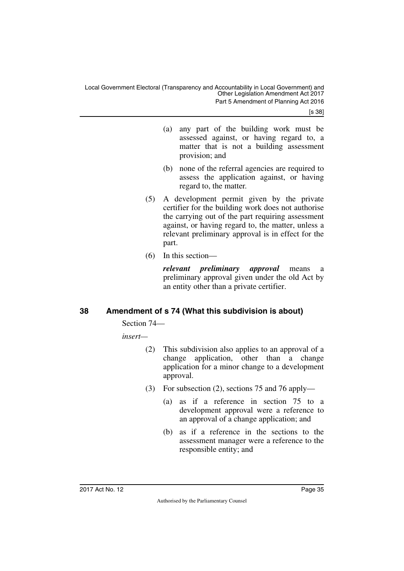Local Government Electoral (Transparency and Accountability in Local Government) and Other Legislation Amendment Act 2017 Part 5 Amendment of Planning Act 2016

[s 38]

- (a) any part of the building work must be assessed against, or having regard to, a matter that is not a building assessment provision; and
- (b) none of the referral agencies are required to assess the application against, or having regard to, the matter.
- (5) A development permit given by the private certifier for the building work does not authorise the carrying out of the part requiring assessment against, or having regard to, the matter, unless a relevant preliminary approval is in effect for the part.
- (6) In this section—

*relevant preliminary approval* means a preliminary approval given under the old Act by an entity other than a private certifier.

### <span id="page-36-0"></span>**38 Amendment of s 74 (What this subdivision is about)**

<span id="page-36-1"></span>Section 74—

*insert—*

- (2) This subdivision also applies to an approval of a change application, other than a change application for a minor change to a development approval.
- (3) For subsection (2), sections 75 and 76 apply—
	- (a) as if a reference in section 75 to a development approval were a reference to an approval of a change application; and
	- (b) as if a reference in the sections to the assessment manager were a reference to the responsible entity; and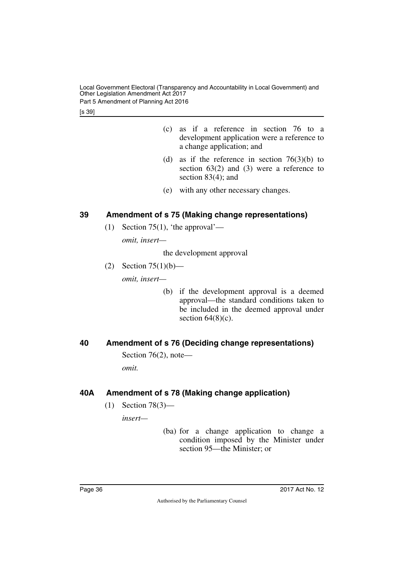Local Government Electoral (Transparency and Accountability in Local Government) and Other Legislation Amendment Act 2017 Part 5 Amendment of Planning Act 2016

[s 39]

- (c) as if a reference in section 76 to a development application were a reference to a change application; and
- (d) as if the reference in section  $76(3)(b)$  to section  $63(2)$  and  $(3)$  were a reference to section 83(4); and
- (e) with any other necessary changes.

### <span id="page-37-0"></span>**39 Amendment of s 75 (Making change representations)**

<span id="page-37-1"></span>(1) Section 75(1), 'the approval'—

*omit, insert—*

the development approval

- (2) Section 75(1)(b) *omit, insert—*
	- (b) if the development approval is a deemed approval—the standard conditions taken to be included in the deemed approval under section  $64(8)(c)$ .

### <span id="page-37-2"></span>**40 Amendment of s 76 (Deciding change representations)**

<span id="page-37-3"></span>Section 76(2), note—

*omit.*

### <span id="page-37-4"></span>**40A Amendment of s 78 (Making change application)**

<span id="page-37-5"></span>(1) Section 78(3)—

*insert—*

(ba) for a change application to change a condition imposed by the Minister under section 95—the Minister; or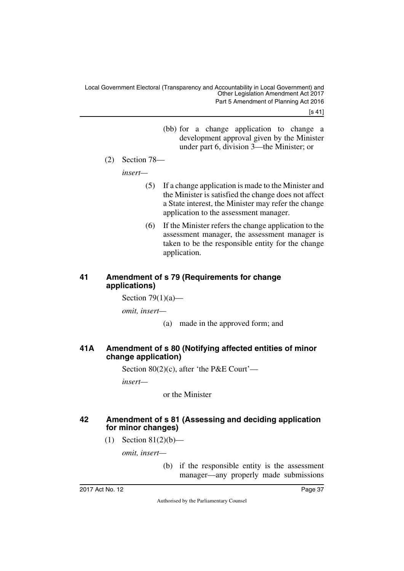[s 41]

- (bb) for a change application to change a development approval given by the Minister under part 6, division 3—the Minister; or
- (2) Section 78—

*insert—*

- (5) If a change application is made to the Minister and the Minister is satisfied the change does not affect a State interest, the Minister may refer the change application to the assessment manager.
- (6) If the Minister refers the change application to the assessment manager, the assessment manager is taken to be the responsible entity for the change application.

### <span id="page-38-1"></span><span id="page-38-0"></span>**41 Amendment of s 79 (Requirements for change applications)**

Section  $79(1)(a)$ —

*omit, insert—*

(a) made in the approved form; and

### <span id="page-38-3"></span><span id="page-38-2"></span>**41A Amendment of s 80 (Notifying affected entities of minor change application)**

Section 80(2)(c), after 'the P&E Court'—

*insert—*

or the Minister

### <span id="page-38-5"></span><span id="page-38-4"></span>**42 Amendment of s 81 (Assessing and deciding application for minor changes)**

(1) Section  $81(2)(b)$ —

*omit, insert—*

(b) if the responsible entity is the assessment manager—any properly made submissions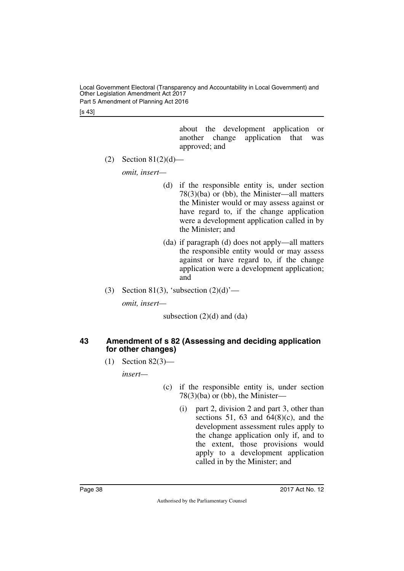[s 43]

about the development application or another change application that was approved; and

(2) Section  $81(2)(d)$ —

*omit, insert—*

- (d) if the responsible entity is, under section 78(3)(ba) or (bb), the Minister—all matters the Minister would or may assess against or have regard to, if the change application were a development application called in by the Minister; and
- (da) if paragraph (d) does not apply—all matters the responsible entity would or may assess against or have regard to, if the change application were a development application; and
- (3) Section 81(3), 'subsection  $(2)(d)$ '—

*omit, insert—*

subsection  $(2)(d)$  and  $(da)$ 

### <span id="page-39-1"></span><span id="page-39-0"></span>**43 Amendment of s 82 (Assessing and deciding application for other changes)**

(1) Section 82(3)—

*insert—*

- (c) if the responsible entity is, under section 78(3)(ba) or (bb), the Minister—
	- (i) part 2, division 2 and part 3, other than sections 51, 63 and  $64(8)(c)$ , and the development assessment rules apply to the change application only if, and to the extent, those provisions would apply to a development application called in by the Minister; and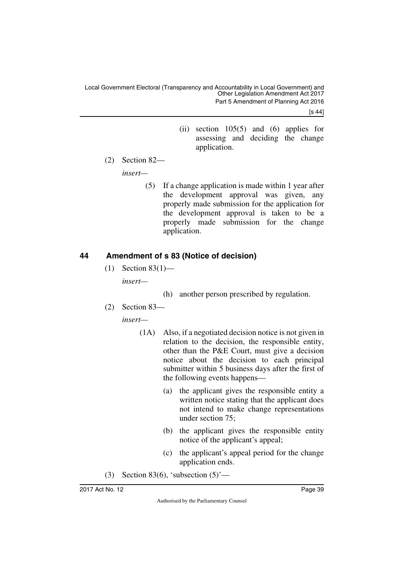[s 44]

- (ii) section 105(5) and (6) applies for assessing and deciding the change application.
- (2) Section 82—

*insert—*

(5) If a change application is made within 1 year after the development approval was given, any properly made submission for the application for the development approval is taken to be a properly made submission for the change application.

### <span id="page-40-0"></span>**44 Amendment of s 83 (Notice of decision)**

- <span id="page-40-1"></span> $(1)$  Section 83 $(1)$  *insert—*
	- (h) another person prescribed by regulation.
- (2) Section 83—

*insert—*

- (1A) Also, if a negotiated decision notice is not given in relation to the decision, the responsible entity, other than the P&E Court, must give a decision notice about the decision to each principal submitter within 5 business days after the first of the following events happens—
	- (a) the applicant gives the responsible entity a written notice stating that the applicant does not intend to make change representations under section 75;
	- (b) the applicant gives the responsible entity notice of the applicant's appeal;
	- (c) the applicant's appeal period for the change application ends.
- (3) Section 83(6), 'subsection  $(5)$ '—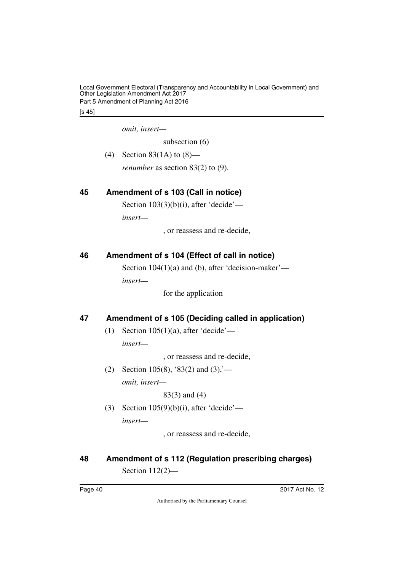Local Government Electoral (Transparency and Accountability in Local Government) and Other Legislation Amendment Act 2017 Part 5 Amendment of Planning Act 2016

[s 45]

*omit, insert—*

subsection (6)

(4) Section 83(1A) to (8)—

<span id="page-41-1"></span>*renumber* as section 83(2) to (9).

### <span id="page-41-0"></span>**45 Amendment of s 103 (Call in notice)**

Section  $103(3)(b)(i)$ , after 'decide'—

*insert—*

, or reassess and re-decide,

### <span id="page-41-2"></span>**46 Amendment of s 104 (Effect of call in notice)**

<span id="page-41-3"></span>Section 104(1)(a) and (b), after 'decision-maker' *insert—*

for the application

### <span id="page-41-4"></span>**47 Amendment of s 105 (Deciding called in application)**

<span id="page-41-5"></span>(1) Section  $105(1)(a)$ , after 'decide' *insert—*

, or reassess and re-decide,

(2) Section 105(8), '83(2) and  $(3)$ ,'*omit, insert—*

83(3) and (4)

(3) Section 105(9)(b)(i), after 'decide' *insert—*

, or reassess and re-decide,

## <span id="page-41-7"></span><span id="page-41-6"></span>**48 Amendment of s 112 (Regulation prescribing charges)** Section 112(2)—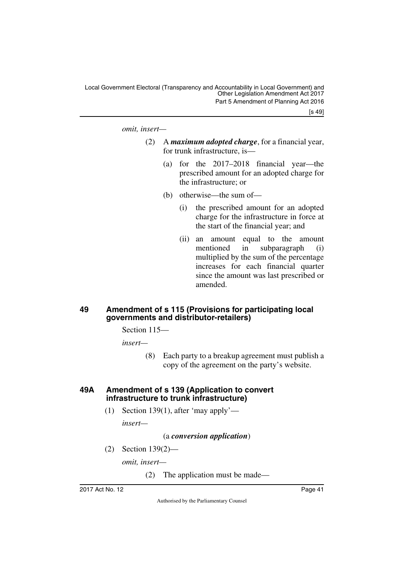[s 49]

*omit, insert—*

- (2) A *maximum adopted charge*, for a financial year, for trunk infrastructure, is—
	- (a) for the 2017–2018 financial year—the prescribed amount for an adopted charge for the infrastructure; or
	- (b) otherwise—the sum of—
		- (i) the prescribed amount for an adopted charge for the infrastructure in force at the start of the financial year; and
		- (ii) an amount equal to the amount mentioned in subparagraph (i) multiplied by the sum of the percentage increases for each financial quarter since the amount was last prescribed or amended.

### <span id="page-42-1"></span><span id="page-42-0"></span>**49 Amendment of s 115 (Provisions for participating local governments and distributor-retailers)**

Section 115—

*insert—*

(8) Each party to a breakup agreement must publish a copy of the agreement on the party's website.

#### <span id="page-42-3"></span><span id="page-42-2"></span>**49A Amendment of s 139 (Application to convert infrastructure to trunk infrastructure)**

(1) Section 139(1), after 'may apply'—

*insert—*

#### (a *conversion application*)

(2) Section 139(2)—

*omit, insert—*

(2) The application must be made—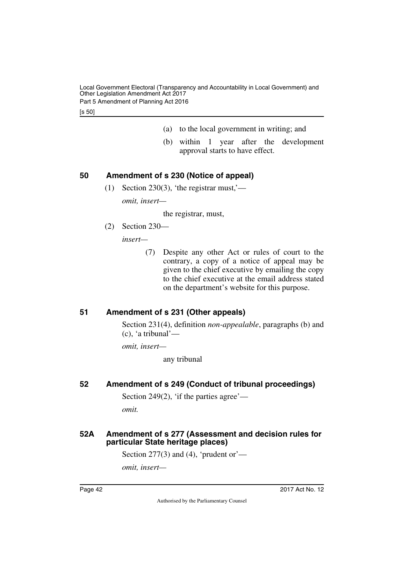Local Government Electoral (Transparency and Accountability in Local Government) and Other Legislation Amendment Act 2017 Part 5 Amendment of Planning Act 2016

[s 50]

- (a) to the local government in writing; and
- (b) within 1 year after the development approval starts to have effect.

### <span id="page-43-0"></span>**50 Amendment of s 230 (Notice of appeal)**

<span id="page-43-1"></span>(1) Section 230(3), 'the registrar must,' *omit, insert—*

the registrar, must,

(2) Section 230—

*insert—*

(7) Despite any other Act or rules of court to the contrary, a copy of a notice of appeal may be given to the chief executive by emailing the copy to the chief executive at the email address stated on the department's website for this purpose.

### <span id="page-43-2"></span>**51 Amendment of s 231 (Other appeals)**

<span id="page-43-3"></span>Section 231(4), definition *non-appealable*, paragraphs (b) and (c), 'a tribunal'—

*omit, insert—*

any tribunal

### <span id="page-43-4"></span>**52 Amendment of s 249 (Conduct of tribunal proceedings)**

<span id="page-43-5"></span>Section 249 $(2)$ , 'if the parties agree'—

<span id="page-43-7"></span>*omit.*

### <span id="page-43-6"></span>**52A Amendment of s 277 (Assessment and decision rules for particular State heritage places)**

Section 277(3) and (4), 'prudent or'—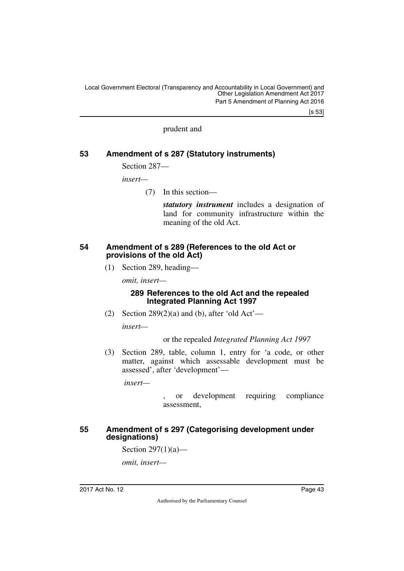[s 53]

#### prudent and

### <span id="page-44-0"></span>**53 Amendment of s 287 (Statutory instruments)**

<span id="page-44-1"></span>Section 287—

*insert—*

(7) In this section—

*statutory instrument* includes a designation of land for community infrastructure within the meaning of the old Act.

#### <span id="page-44-3"></span><span id="page-44-2"></span>**54 Amendment of s 289 (References to the old Act or provisions of the old Act)**

(1) Section 289, heading—

*omit, insert—*

#### **289 References to the old Act and the repealed Integrated Planning Act 1997**

(2) Section  $289(2)(a)$  and (b), after 'old Act'—

*insert—*

#### or the repealed *Integrated Planning Act 1997*

(3) Section 289, table, column 1, entry for 'a code, or other matter, against which assessable development must be assessed', after 'development'—

 *insert—*

or development requiring compliance assessment,

#### <span id="page-44-5"></span><span id="page-44-4"></span>**55 Amendment of s 297 (Categorising development under designations)**

Section 297(1)(a)—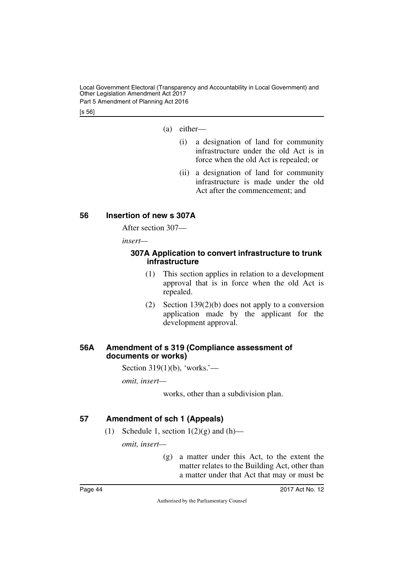Local Government Electoral (Transparency and Accountability in Local Government) and Other Legislation Amendment Act 2017 Part 5 Amendment of Planning Act 2016

[s 56]

- (a) either—
	- (i) a designation of land for community infrastructure under the old Act is in force when the old Act is repealed; or
	- (ii) a designation of land for community infrastructure is made under the old Act after the commencement; and

### <span id="page-45-0"></span>**56 Insertion of new s 307A**

<span id="page-45-1"></span>After section 307—

*insert—*

#### <span id="page-45-3"></span><span id="page-45-2"></span>**307A Application to convert infrastructure to trunk infrastructure**

- (1) This section applies in relation to a development approval that is in force when the old Act is repealed.
- (2) Section 139(2)(b) does not apply to a conversion application made by the applicant for the development approval.

### <span id="page-45-5"></span><span id="page-45-4"></span>**56A Amendment of s 319 (Compliance assessment of documents or works)**

Section 319(1)(b), 'works.'—

*omit, insert—*

works, other than a subdivision plan.

### <span id="page-45-6"></span>**57 Amendment of sch 1 (Appeals)**

<span id="page-45-7"></span>(1) Schedule 1, section  $1(2)(g)$  and  $(h)$ —

*omit, insert—*

(g) a matter under this Act, to the extent the matter relates to the Building Act, other than a matter under that Act that may or must be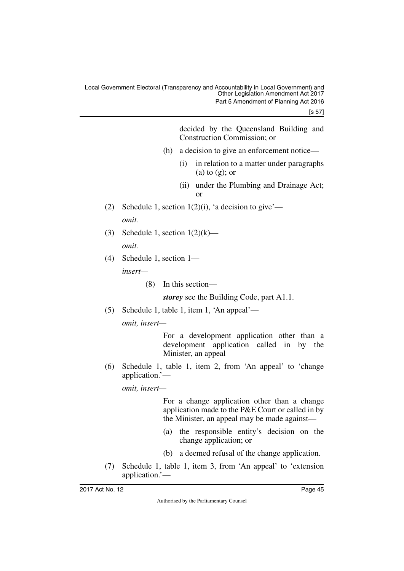[s 57]

decided by the Queensland Building and Construction Commission; or

- (h) a decision to give an enforcement notice—
	- (i) in relation to a matter under paragraphs (a) to  $(g)$ ; or
	- (ii) under the Plumbing and Drainage Act; or
- (2) Schedule 1, section  $1(2)(i)$ , 'a decision to give' *omit.*
- (3) Schedule 1, section  $1(2)(k)$  *omit.*
- (4) Schedule 1, section 1 *insert—*
	- (8) In this section—

*storey* see the Building Code, part A1.1.

(5) Schedule 1, table 1, item 1, 'An appeal'—

*omit, insert—*

For a development application other than a development application called in by the Minister, an appeal

(6) Schedule 1, table 1, item 2, from 'An appeal' to 'change application.'—

*omit, insert—*

For a change application other than a change application made to the P&E Court or called in by the Minister, an appeal may be made against—

- (a) the responsible entity's decision on the change application; or
- (b) a deemed refusal of the change application.
- (7) Schedule 1, table 1, item 3, from 'An appeal' to 'extension application.'—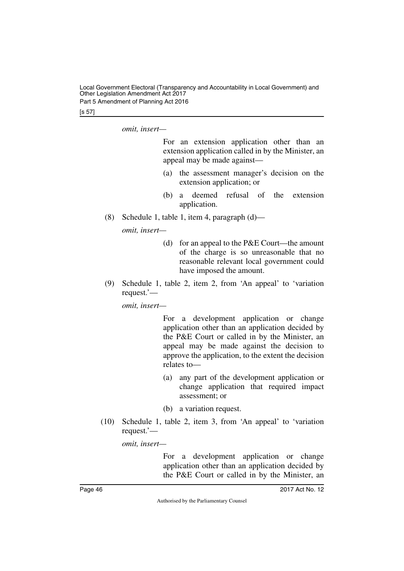Local Government Electoral (Transparency and Accountability in Local Government) and Other Legislation Amendment Act 2017 Part 5 Amendment of Planning Act 2016

[s 57]

*omit, insert—*

For an extension application other than an extension application called in by the Minister, an appeal may be made against—

- (a) the assessment manager's decision on the extension application; or
- (b) a deemed refusal of the extension application.
- (8) Schedule 1, table 1, item 4, paragraph (d)—

*omit, insert—*

- (d) for an appeal to the P&E Court—the amount of the charge is so unreasonable that no reasonable relevant local government could have imposed the amount.
- (9) Schedule 1, table 2, item 2, from 'An appeal' to 'variation request.'—

*omit, insert—*

For a development application or change application other than an application decided by the P&E Court or called in by the Minister, an appeal may be made against the decision to approve the application, to the extent the decision relates to—

- (a) any part of the development application or change application that required impact assessment; or
- (b) a variation request.
- (10) Schedule 1, table 2, item 3, from 'An appeal' to 'variation request.'—

*omit, insert—*

For a development application or change application other than an application decided by the P&E Court or called in by the Minister, an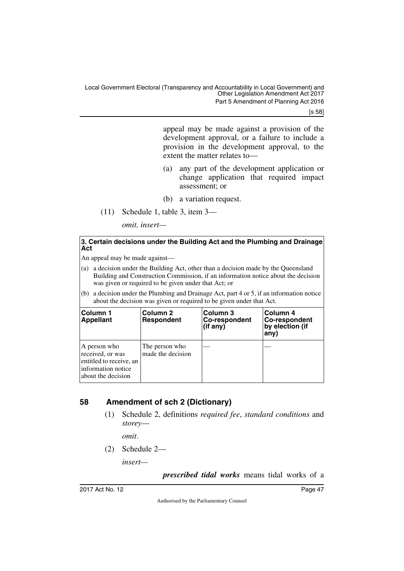[s 58]

appeal may be made against a provision of the development approval, or a failure to include a provision in the development approval, to the extent the matter relates to—

- (a) any part of the development application or change application that required impact assessment; or
- (b) a variation request.
- (11) Schedule 1, table 3, item 3—

*omit, insert—*

#### **3. Certain decisions under the Building Act and the Plumbing and Drainage Act**

An appeal may be made against—

- (a) a decision under the Building Act, other than a decision made by the Queensland Building and Construction Commission, if an information notice about the decision was given or required to be given under that Act; or
- (b) a decision under the Plumbing and Drainage Act, part 4 or 5, if an information notice about the decision was given or required to be given under that Act.

| <b>Column 1</b><br><b>Appellant</b>                                                                     | Column 2<br><b>Respondent</b>       | Column 3<br><b>Co-respondent</b><br>(if any) | Column 4<br>Co-respondent<br>by election (if<br>any) |
|---------------------------------------------------------------------------------------------------------|-------------------------------------|----------------------------------------------|------------------------------------------------------|
| A person who<br>received, or was<br>entitled to receive, an<br>information notice<br>about the decision | The person who<br>made the decision |                                              |                                                      |

### <span id="page-48-0"></span>**58 Amendment of sch 2 (Dictionary)**

<span id="page-48-1"></span>(1) Schedule 2, definitions *required fee*, *standard conditions* and *storey*—

*omit*.

(2) Schedule 2—

*insert—*

*prescribed tidal works* means tidal works of a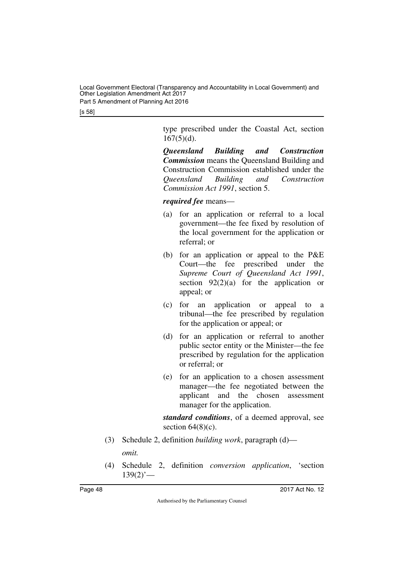Local Government Electoral (Transparency and Accountability in Local Government) and Other Legislation Amendment Act 2017 Part 5 Amendment of Planning Act 2016

[s 58]

type prescribed under the Coastal Act, section  $167(5)(d)$ .

*Queensland Building and Construction Commission* means the Queensland Building and Construction Commission established under the *Queensland Building and Construction Commission Act 1991*, section 5.

*required fee* means—

- (a) for an application or referral to a local government—the fee fixed by resolution of the local government for the application or referral; or
- (b) for an application or appeal to the P&E Court—the fee prescribed under the *Supreme Court of Queensland Act 1991*, section  $92(2)(a)$  for the application or appeal; or
- (c) for an application or appeal to a tribunal—the fee prescribed by regulation for the application or appeal; or
- (d) for an application or referral to another public sector entity or the Minister—the fee prescribed by regulation for the application or referral; or
- (e) for an application to a chosen assessment manager—the fee negotiated between the applicant and the chosen assessment manager for the application.

*standard conditions*, of a deemed approval, see section  $64(8)(c)$ .

- (3) Schedule 2, definition *building work*, paragraph (d) *omit.*
- (4) Schedule 2, definition *conversion application*, 'section  $139(2)$ <sup>'</sup>—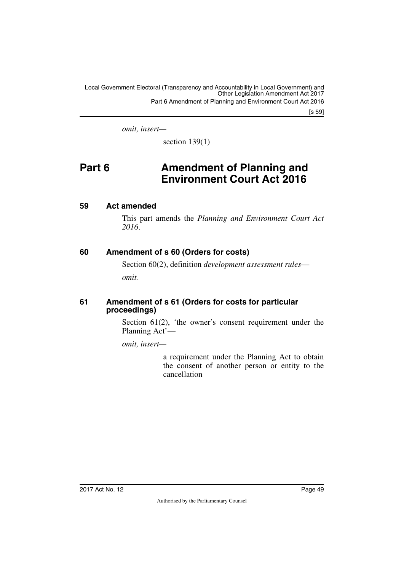[s 59]

*omit, insert—*

<span id="page-50-1"></span>section  $139(1)$ 

# <span id="page-50-0"></span>**Part 6 Amendment of Planning and Environment Court Act 2016**

### <span id="page-50-2"></span>**59 Act amended**

<span id="page-50-3"></span>This part amends the *Planning and Environment Court Act 2016*.

### <span id="page-50-4"></span>**60 Amendment of s 60 (Orders for costs)**

<span id="page-50-5"></span>Section 60(2), definition *development assessment rules omit.*

#### <span id="page-50-7"></span><span id="page-50-6"></span>**61 Amendment of s 61 (Orders for costs for particular proceedings)**

Section 61(2), 'the owner's consent requirement under the Planning Act'—

*omit, insert—*

a requirement under the Planning Act to obtain the consent of another person or entity to the cancellation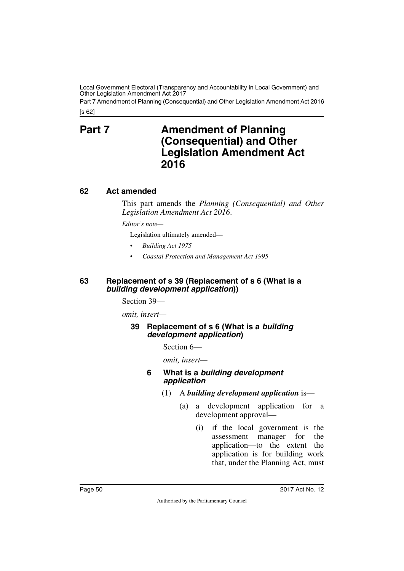[s 62] Part 7 Amendment of Planning (Consequential) and Other Legislation Amendment Act 2016

# <span id="page-51-1"></span><span id="page-51-0"></span>**Part 7** Amendment of Planning **(Consequential) and Other Legislation Amendment Act 2016**

### <span id="page-51-2"></span>**62 Act amended**

<span id="page-51-3"></span>This part amends the *Planning (Consequential) and Other Legislation Amendment Act 2016*.

*Editor's note—*

Legislation ultimately amended—

- *Building Act 1975*
- *Coastal Protection and Management Act 1995*

#### <span id="page-51-5"></span><span id="page-51-4"></span>**63 Replacement of s 39 (Replacement of s 6 (What is a**  *building development application***))**

Section 39—

*omit, insert—*

### <span id="page-51-7"></span><span id="page-51-6"></span>**39 Replacement of s 6 (What is a** *building development application***)**

Section 6—

*omit, insert—*

#### **6 What is a** *building development application*

- (1) A *building development application* is—
	- (a) a development application for a development approval—
		- (i) if the local government is the assessment manager for the application—to the extent the application is for building work that, under the Planning Act, must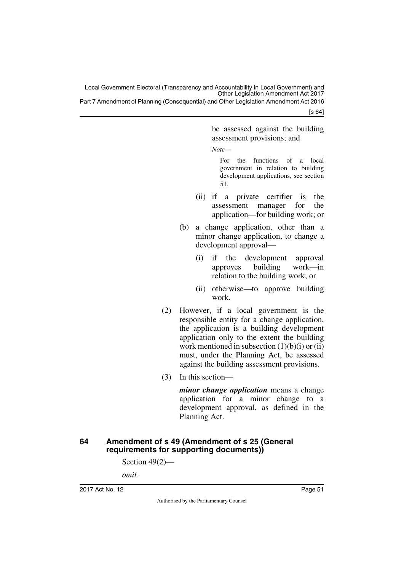Part 7 Amendment of Planning (Consequential) and Other Legislation Amendment Act 2016

[s 64]

be assessed against the building assessment provisions; and

*Note—*

For the functions of a local government in relation to building development applications, see section 51.

- (ii) if a private certifier is the assessment manager for the application—for building work; or
- (b) a change application, other than a minor change application, to change a development approval—
	- (i) if the development approval approves building work—in relation to the building work; or
	- (ii) otherwise—to approve building work.
- (2) However, if a local government is the responsible entity for a change application, the application is a building development application only to the extent the building work mentioned in subsection (1)(b)(i) or (ii) must, under the Planning Act, be assessed against the building assessment provisions.
- (3) In this section—

*minor change application* means a change application for a minor change to a development approval, as defined in the Planning Act.

### <span id="page-52-1"></span><span id="page-52-0"></span>**64 Amendment of s 49 (Amendment of s 25 (General requirements for supporting documents))**

Section 49(2)—

*omit.*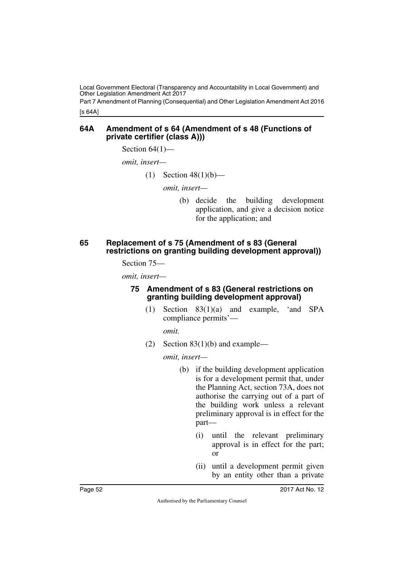[s 64A] Part 7 Amendment of Planning (Consequential) and Other Legislation Amendment Act 2016

#### <span id="page-53-1"></span><span id="page-53-0"></span>**64A Amendment of s 64 (Amendment of s 48 (Functions of private certifier (class A)))**

Section  $64(1)$ —

*omit, insert—*

(1) Section  $48(1)(b)$ —

*omit, insert—*

(b) decide the building development application, and give a decision notice for the application; and

#### <span id="page-53-3"></span><span id="page-53-2"></span>**65 Replacement of s 75 (Amendment of s 83 (General restrictions on granting building development approval))**

Section 75—

*omit, insert—*

#### <span id="page-53-5"></span><span id="page-53-4"></span>**75 Amendment of s 83 (General restrictions on granting building development approval)**

(1) Section 83(1)(a) and example, 'and SPA compliance permits'—

*omit.*

(2) Section  $83(1)(b)$  and example—

- (b) if the building development application is for a development permit that, under the Planning Act, section 73A, does not authorise the carrying out of a part of the building work unless a relevant preliminary approval is in effect for the part—
	- (i) until the relevant preliminary approval is in effect for the part; or
	- (ii) until a development permit given by an entity other than a private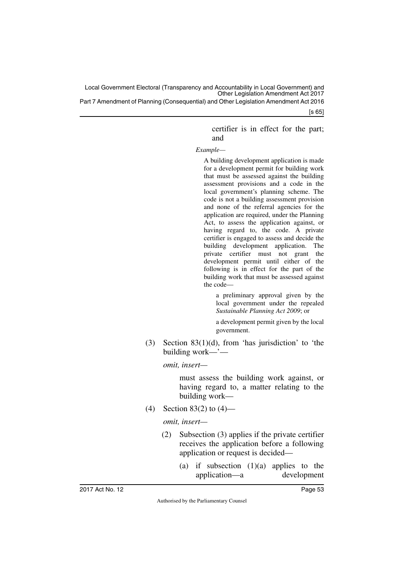Part 7 Amendment of Planning (Consequential) and Other Legislation Amendment Act 2016

[s 65]

certifier is in effect for the part; and

#### *Example—*

A building development application is made for a development permit for building work that must be assessed against the building assessment provisions and a code in the local government's planning scheme. The code is not a building assessment provision and none of the referral agencies for the application are required, under the Planning Act, to assess the application against, or having regard to, the code. A private certifier is engaged to assess and decide the building development application. The private certifier must not grant the development permit until either of the following is in effect for the part of the building work that must be assessed against the code—

a preliminary approval given by the local government under the repealed *Sustainable Planning Act 2009*; or

a development permit given by the local government.

(3) Section  $83(1)(d)$ , from 'has jurisdiction' to 'the building work—'—

*omit, insert—*

must assess the building work against, or having regard to, a matter relating to the building work—

(4) Section 83(2) to (4)—

- (2) Subsection (3) applies if the private certifier receives the application before a following application or request is decided—
	- (a) if subsection  $(1)(a)$  applies to the application—a development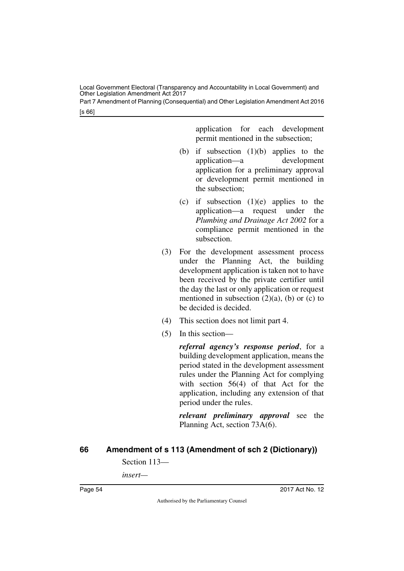Part 7 Amendment of Planning (Consequential) and Other Legislation Amendment Act 2016

[s 66]

application for each development permit mentioned in the subsection;

- (b) if subsection  $(1)(b)$  applies to the application—a development application for a preliminary approval or development permit mentioned in the subsection;
- (c) if subsection  $(1)(e)$  applies to the application—a request under the *Plumbing and Drainage Act 2002* for a compliance permit mentioned in the subsection.
- (3) For the development assessment process under the Planning Act, the building development application is taken not to have been received by the private certifier until the day the last or only application or request mentioned in subsection  $(2)(a)$ ,  $(b)$  or  $(c)$  to be decided is decided.
- (4) This section does not limit part 4.
- (5) In this section—

*referral agency's response period*, for a building development application, means the period stated in the development assessment rules under the Planning Act for complying with section 56(4) of that Act for the application, including any extension of that period under the rules.

*relevant preliminary approval* see the Planning Act, section 73A(6).

### <span id="page-55-0"></span>**66 Amendment of s 113 (Amendment of sch 2 (Dictionary))**

<span id="page-55-1"></span>Section 113—

*insert—*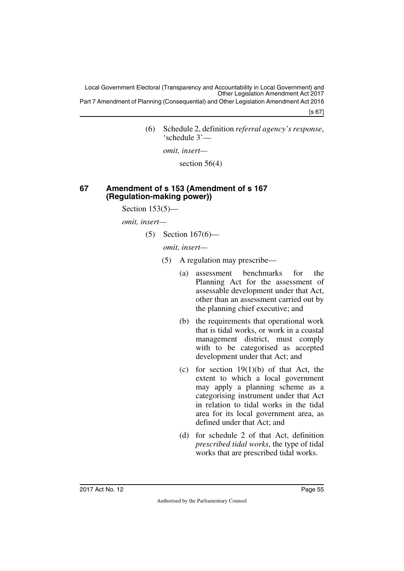Part 7 Amendment of Planning (Consequential) and Other Legislation Amendment Act 2016

[s 67]

(6) Schedule 2, definition *referral agency's response*, 'schedule 3'—

*omit, insert—*

section 56(4)

### <span id="page-56-1"></span><span id="page-56-0"></span>**67 Amendment of s 153 (Amendment of s 167 (Regulation-making power))**

Section  $153(5)$ —

*omit, insert—*

(5) Section 167(6)—

- (5) A regulation may prescribe—
	- (a) assessment benchmarks for the Planning Act for the assessment of assessable development under that Act, other than an assessment carried out by the planning chief executive; and
	- (b) the requirements that operational work that is tidal works, or work in a coastal management district, must comply with to be categorised as accepted development under that Act; and
	- (c) for section  $19(1)(b)$  of that Act, the extent to which a local government may apply a planning scheme as a categorising instrument under that Act in relation to tidal works in the tidal area for its local government area, as defined under that Act; and
	- (d) for schedule 2 of that Act, definition *prescribed tidal works*, the type of tidal works that are prescribed tidal works.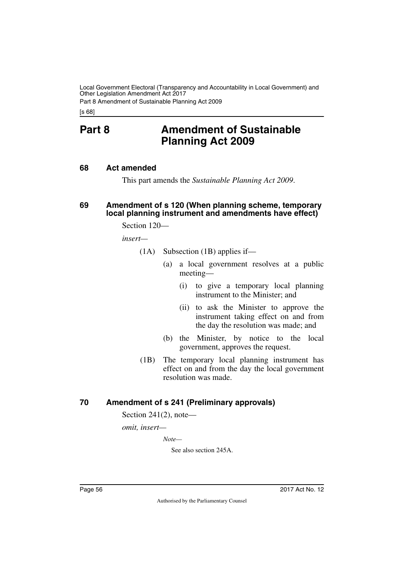Part 8 Amendment of Sustainable Planning Act 2009

<span id="page-57-0"></span>[s 68]

# **Part 8 Amendment of Sustainable Planning Act 2009**

#### <span id="page-57-2"></span>**68 Act amended**

<span id="page-57-5"></span><span id="page-57-3"></span><span id="page-57-1"></span>This part amends the *Sustainable Planning Act 2009*.

#### <span id="page-57-4"></span>**69 Amendment of s 120 (When planning scheme, temporary local planning instrument and amendments have effect)**

Section 120—

*insert—*

- (1A) Subsection (1B) applies if—
	- (a) a local government resolves at a public meeting—
		- (i) to give a temporary local planning instrument to the Minister; and
		- (ii) to ask the Minister to approve the instrument taking effect on and from the day the resolution was made; and
	- (b) the Minister, by notice to the local government, approves the request.
- (1B) The temporary local planning instrument has effect on and from the day the local government resolution was made.

### <span id="page-57-6"></span>**70 Amendment of s 241 (Preliminary approvals)**

<span id="page-57-7"></span>Section 241(2), note—

*omit, insert—*

*Note—*

See also section 245A.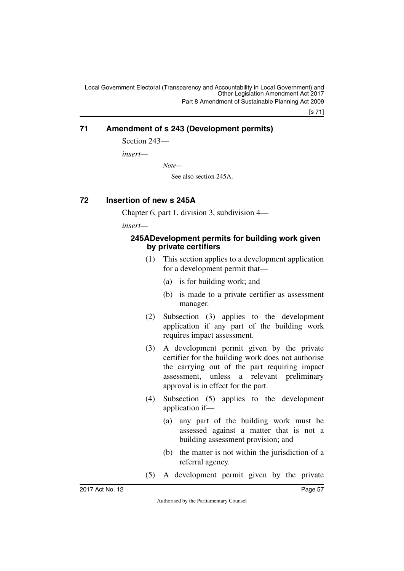[s 71]

### <span id="page-58-0"></span>**71 Amendment of s 243 (Development permits)**

<span id="page-58-1"></span>Section 243—

*insert—*

*Note—*

See also section 245A.

### <span id="page-58-2"></span>**72 Insertion of new s 245A**

<span id="page-58-3"></span>Chapter 6, part 1, division 3, subdivision 4—

*insert—*

### <span id="page-58-5"></span><span id="page-58-4"></span>**245ADevelopment permits for building work given by private certifiers**

- (1) This section applies to a development application for a development permit that—
	- (a) is for building work; and
	- (b) is made to a private certifier as assessment manager.
- (2) Subsection (3) applies to the development application if any part of the building work requires impact assessment.
- (3) A development permit given by the private certifier for the building work does not authorise the carrying out of the part requiring impact assessment, unless a relevant preliminary approval is in effect for the part.
- (4) Subsection (5) applies to the development application if—
	- (a) any part of the building work must be assessed against a matter that is not a building assessment provision; and
	- (b) the matter is not within the jurisdiction of a referral agency.
- (5) A development permit given by the private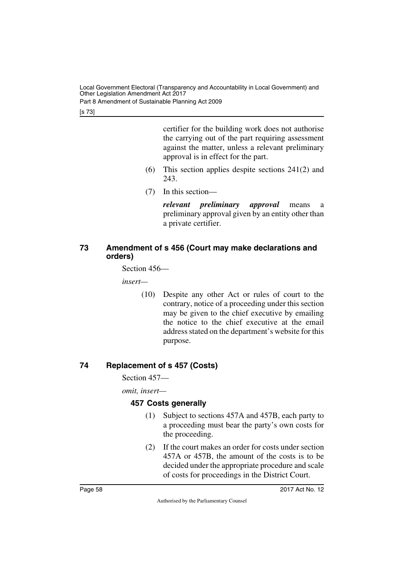Part 8 Amendment of Sustainable Planning Act 2009

[s 73]

certifier for the building work does not authorise the carrying out of the part requiring assessment against the matter, unless a relevant preliminary approval is in effect for the part.

- (6) This section applies despite sections 241(2) and 243.
- (7) In this section—

*relevant preliminary approval* means a preliminary approval given by an entity other than a private certifier.

### <span id="page-59-1"></span><span id="page-59-0"></span>**73 Amendment of s 456 (Court may make declarations and orders)**

Section 456—

*insert—*

(10) Despite any other Act or rules of court to the contrary, notice of a proceeding under this section may be given to the chief executive by emailing the notice to the chief executive at the email address stated on the department's website for this purpose.

### <span id="page-59-2"></span>**74 Replacement of s 457 (Costs)**

<span id="page-59-3"></span>Section 457—

*omit, insert—*

### <span id="page-59-5"></span><span id="page-59-4"></span>**457 Costs generally**

- (1) Subject to sections 457A and 457B, each party to a proceeding must bear the party's own costs for the proceeding.
- (2) If the court makes an order for costs under section 457A or 457B, the amount of the costs is to be decided under the appropriate procedure and scale of costs for proceedings in the District Court.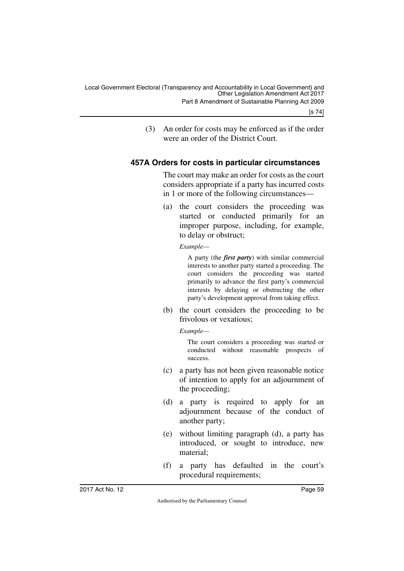(3) An order for costs may be enforced as if the order were an order of the District Court.

### <span id="page-60-0"></span>**457A Orders for costs in particular circumstances**

<span id="page-60-1"></span>The court may make an order for costs as the court considers appropriate if a party has incurred costs in 1 or more of the following circumstances—

(a) the court considers the proceeding was started or conducted primarily for an improper purpose, including, for example, to delay or obstruct;

*Example—*

A party (the *first party*) with similar commercial interests to another party started a proceeding. The court considers the proceeding was started primarily to advance the first party's commercial interests by delaying or obstructing the other party's development approval from taking effect.

(b) the court considers the proceeding to be frivolous or vexatious;

*Example—*

The court considers a proceeding was started or conducted without reasonable prospects of success.

- (c) a party has not been given reasonable notice of intention to apply for an adjournment of the proceeding;
- (d) a party is required to apply for an adjournment because of the conduct of another party;
- (e) without limiting paragraph (d), a party has introduced, or sought to introduce, new material;
- (f) a party has defaulted in the court's procedural requirements;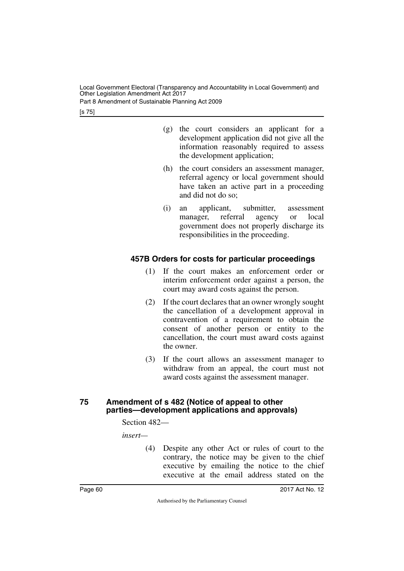Part 8 Amendment of Sustainable Planning Act 2009

[s 75]

- (g) the court considers an applicant for a development application did not give all the information reasonably required to assess the development application;
- (h) the court considers an assessment manager, referral agency or local government should have taken an active part in a proceeding and did not do so;
- (i) an applicant, submitter, assessment manager, referral agency or local government does not properly discharge its responsibilities in the proceeding.

### <span id="page-61-0"></span>**457B Orders for costs for particular proceedings**

- <span id="page-61-1"></span>(1) If the court makes an enforcement order or interim enforcement order against a person, the court may award costs against the person.
- (2) If the court declares that an owner wrongly sought the cancellation of a development approval in contravention of a requirement to obtain the consent of another person or entity to the cancellation, the court must award costs against the owner.
- (3) If the court allows an assessment manager to withdraw from an appeal, the court must not award costs against the assessment manager.

### <span id="page-61-3"></span><span id="page-61-2"></span>**75 Amendment of s 482 (Notice of appeal to other parties—development applications and approvals)**

Section 482—

*insert—*

(4) Despite any other Act or rules of court to the contrary, the notice may be given to the chief executive by emailing the notice to the chief executive at the email address stated on the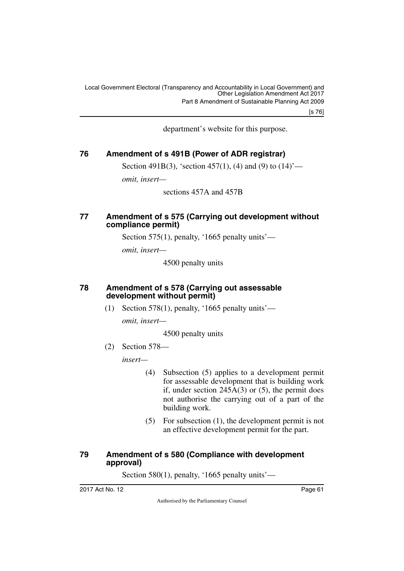[s 76]

department's website for this purpose.

### <span id="page-62-0"></span>**76 Amendment of s 491B (Power of ADR registrar)**

<span id="page-62-1"></span>Section 491B(3), 'section 457(1), (4) and (9) to  $(14)$ '—

*omit, insert—*

sections 457A and 457B

#### <span id="page-62-3"></span><span id="page-62-2"></span>**77 Amendment of s 575 (Carrying out development without compliance permit)**

Section 575(1), penalty, '1665 penalty units'—

*omit, insert—*

4500 penalty units

#### <span id="page-62-5"></span><span id="page-62-4"></span>**78 Amendment of s 578 (Carrying out assessable development without permit)**

(1) Section 578(1), penalty, '1665 penalty units'—

*omit, insert—*

4500 penalty units

(2) Section 578—

*insert—*

- (4) Subsection (5) applies to a development permit for assessable development that is building work if, under section  $245A(3)$  or  $(5)$ , the permit does not authorise the carrying out of a part of the building work.
- (5) For subsection (1), the development permit is not an effective development permit for the part.

### <span id="page-62-7"></span><span id="page-62-6"></span>**79 Amendment of s 580 (Compliance with development approval)**

Section 580(1), penalty, '1665 penalty units'—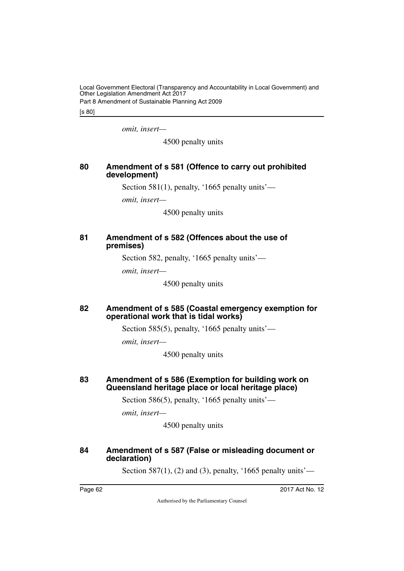Local Government Electoral (Transparency and Accountability in Local Government) and Other Legislation Amendment Act 2017 Part 8 Amendment of Sustainable Planning Act 2009

[s 80]

*omit, insert—*

4500 penalty units

### <span id="page-63-1"></span><span id="page-63-0"></span>**80 Amendment of s 581 (Offence to carry out prohibited development)**

Section 581(1), penalty, '1665 penalty units'—

*omit, insert—*

4500 penalty units

#### <span id="page-63-3"></span><span id="page-63-2"></span>**81 Amendment of s 582 (Offences about the use of premises)**

Section 582, penalty, '1665 penalty units'—

*omit, insert—*

4500 penalty units

#### <span id="page-63-5"></span><span id="page-63-4"></span>**82 Amendment of s 585 (Coastal emergency exemption for operational work that is tidal works)**

Section 585(5), penalty, '1665 penalty units'—

*omit, insert—*

4500 penalty units

#### <span id="page-63-7"></span><span id="page-63-6"></span>**83 Amendment of s 586 (Exemption for building work on Queensland heritage place or local heritage place)**

Section 586(5), penalty, '1665 penalty units'—

*omit, insert—*

4500 penalty units

### <span id="page-63-9"></span><span id="page-63-8"></span>**84 Amendment of s 587 (False or misleading document or declaration)**

Section 587(1), (2) and (3), penalty, '1665 penalty units'—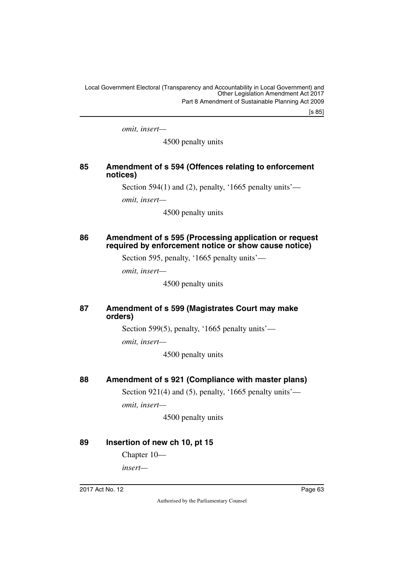[s 85]

*omit, insert—*

4500 penalty units

### <span id="page-64-1"></span><span id="page-64-0"></span>**85 Amendment of s 594 (Offences relating to enforcement notices)**

Section 594(1) and (2), penalty, '1665 penalty units'—

*omit, insert—*

4500 penalty units

### <span id="page-64-3"></span><span id="page-64-2"></span>**86 Amendment of s 595 (Processing application or request required by enforcement notice or show cause notice)**

Section 595, penalty, '1665 penalty units'—

*omit, insert—*

4500 penalty units

### <span id="page-64-5"></span><span id="page-64-4"></span>**87 Amendment of s 599 (Magistrates Court may make orders)**

Section 599(5), penalty, '1665 penalty units'—

*omit, insert—*

4500 penalty units

### <span id="page-64-6"></span>**88 Amendment of s 921 (Compliance with master plans)**

<span id="page-64-7"></span>Section 921(4) and (5), penalty, '1665 penalty units' *omit, insert—*

4500 penalty units

### <span id="page-64-8"></span>**89 Insertion of new ch 10, pt 15**

<span id="page-64-9"></span>Chapter 10—

*insert—*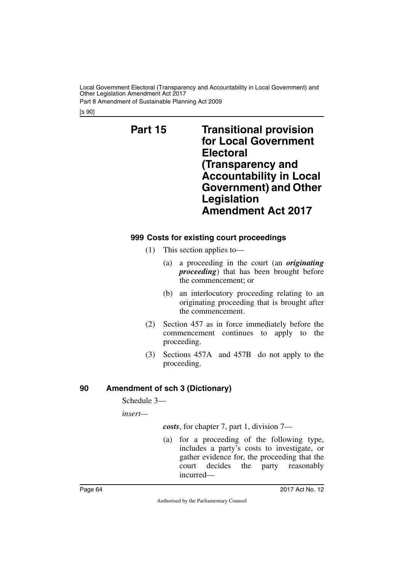Part 8 Amendment of Sustainable Planning Act 2009

[s 90]

<span id="page-65-1"></span><span id="page-65-0"></span>**Part 15 Transitional provision for Local Government Electoral (Transparency and Accountability in Local Government) and Other Legislation Amendment Act 2017**

### <span id="page-65-3"></span><span id="page-65-2"></span>**999 Costs for existing court proceedings**

- (1) This section applies to—
	- (a) a proceeding in the court (an *originating proceeding*) that has been brought before the commencement; or
	- (b) an interlocutory proceeding relating to an originating proceeding that is brought after the commencement.
- (2) Section 457 as in force immediately before the commencement continues to apply to the proceeding.
- (3) Sections 457A and 457B do not apply to the proceeding.

### <span id="page-65-4"></span>**90 Amendment of sch 3 (Dictionary)**

<span id="page-65-5"></span>Schedule 3—

*insert—*

*costs*, for chapter 7, part 1, division 7—

(a) for a proceeding of the following type, includes a party's costs to investigate, or gather evidence for, the proceeding that the court decides the party reasonably incurred—